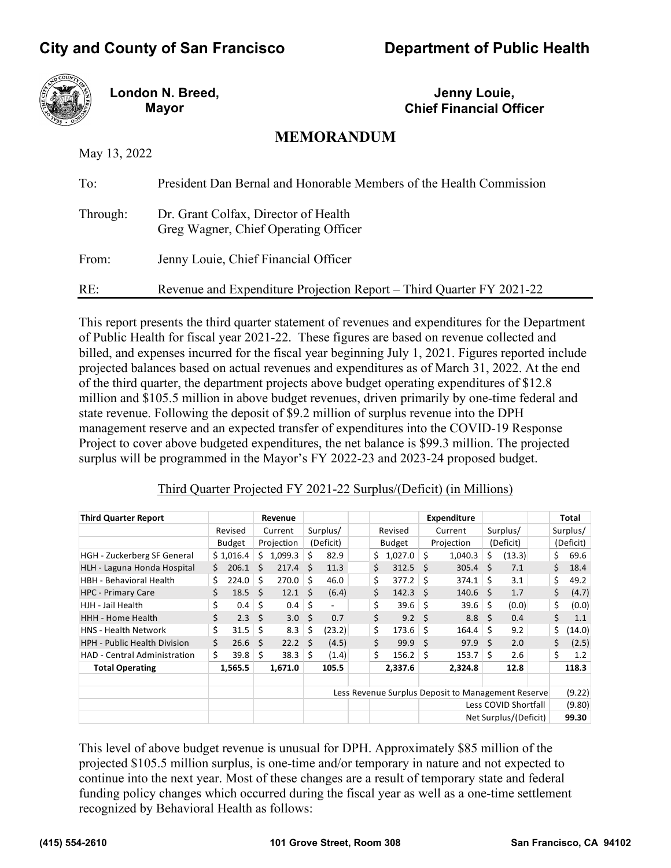# **City and County of San Francisco Department of Public Health**



**London N. Breed, Mayor**

**Jenny Louie, Chief Financial Officer**

# **MEMORANDUM**

May 13, 2022

| To:      | President Dan Bernal and Honorable Members of the Health Commission          |
|----------|------------------------------------------------------------------------------|
| Through: | Dr. Grant Colfax, Director of Health<br>Greg Wagner, Chief Operating Officer |
| From:    | Jenny Louie, Chief Financial Officer                                         |
| RE:      | Revenue and Expenditure Projection Report – Third Quarter FY 2021-22         |

This report presents the third quarter statement of revenues and expenditures for the Department of Public Health for fiscal year 2021-22. These figures are based on revenue collected and billed, and expenses incurred for the fiscal year beginning July 1, 2021. Figures reported include projected balances based on actual revenues and expenditures as of March 31, 2022. At the end of the third quarter, the department projects above budget operating expenditures of \$12.8 million and \$105.5 million in above budget revenues, driven primarily by one-time federal and state revenue. Following the deposit of \$9.2 million of surplus revenue into the DPH management reserve and an expected transfer of expenditures into the COVID-19 Response Project to cover above budgeted expenditures, the net balance is \$99.3 million. The projected surplus will be programmed in the Mayor's FY 2022-23 and 2023-24 proposed budget.

# Third Quarter Projected FY 2021-22 Surplus/(Deficit) (in Millions)

| <b>Third Quarter Report</b>         |    |               |    | <b>Revenue</b> |              |           |    |         |      | <b>Expenditure</b>                                 |     |                       |    | Total     |
|-------------------------------------|----|---------------|----|----------------|--------------|-----------|----|---------|------|----------------------------------------------------|-----|-----------------------|----|-----------|
|                                     |    | Revised       |    | Current        |              | Surplus/  |    | Revised |      | Current                                            |     | Surplus/              |    | Surplus/  |
|                                     |    | <b>Budget</b> |    | Projection     |              | (Deficit) |    | Budget  |      | Projection                                         |     | (Deficit)             |    | (Deficit) |
| <b>HGH</b> - Zuckerberg SF General  |    | \$1,016.4     | Ś. | 1,099.3        | Ś            | 82.9      | \$ | 1,027.0 | \$   | 1,040.3                                            | \$  | (13.3)                | \$ | 69.6      |
| HLH - Laguna Honda Hospital         | Ś. | 206.1         | Ś  | 217.4          | S.           | 11.3      | \$ | 312.5   | Ŝ.   | 305.4                                              | Ś   | 7.1                   | \$ | 18.4      |
| <b>HBH - Behavioral Health</b>      | \$ | 224.0         | \$ | 270.0          | \$           | 46.0      | \$ | 377.2   | -\$  | 374.1                                              | Ś.  | 3.1                   | \$ | 49.2      |
| <b>HPC - Primary Care</b>           | \$ | 18.5          | Ŝ  | 12.1           | - \$         | (6.4)     | \$ | 142.3   | -Ś   | 140.6                                              | - S | 1.7                   | \$ | (4.7)     |
| HJH - Jail Health                   | \$ | 0.4           | \$ | 0.4            | -\$          |           | \$ | 39.6    | -\$  | 39.6                                               | \$  | (0.0)                 | \$ | (0.0)     |
| <b>HHH - Home Health</b>            | \$ | 2.3           | Ŝ. | 3.0            | - \$         | 0.7       | \$ | 9.2     | - \$ | 8.8 <sup>5</sup>                                   |     | 0.4                   | \$ | 1.1       |
| <b>HNS - Health Network</b>         | \$ | 31.5          | \$ | 8.3            | \$           | (23.2)    | \$ | 173.6   | -\$  | 164.4                                              | \$  | 9.2                   | \$ | (14.0)    |
| <b>HPH - Public Health Division</b> | \$ | 26.6          | Ś. | 22.2           | $\mathsf{S}$ | (4.5)     | \$ | 99.9    | Ŝ.   | 97.9                                               | Ś   | 2.0                   | \$ | (2.5)     |
| <b>HAD - Central Administration</b> | \$ | 39.8          | Ŝ. | 38.3           | Ŝ.           | (1.4)     | Ś. | 156.2   | Ŝ.   | 153.7                                              | Ŝ.  | 2.6                   | \$ | 1.2       |
| <b>Total Operating</b>              |    | 1,565.5       |    | 1,671.0        |              | 105.5     |    | 2,337.6 |      | 2,324.8                                            |     | 12.8                  |    | 118.3     |
|                                     |    |               |    |                |              |           |    |         |      |                                                    |     |                       |    |           |
|                                     |    |               |    |                |              |           |    |         |      | Less Revenue Surplus Deposit to Management Reserve |     |                       |    | (9.22)    |
|                                     |    |               |    |                |              |           |    |         |      |                                                    |     | Less COVID Shortfall  |    | (9.80)    |
|                                     |    |               |    |                |              |           |    |         |      |                                                    |     | Net Surplus/(Deficit) |    | 99.30     |

This level of above budget revenue is unusual for DPH. Approximately \$85 million of the projected \$105.5 million surplus, is one-time and/or temporary in nature and not expected to continue into the next year. Most of these changes are a result of temporary state and federal funding policy changes which occurred during the fiscal year as well as a one-time settlement recognized by Behavioral Health as follows: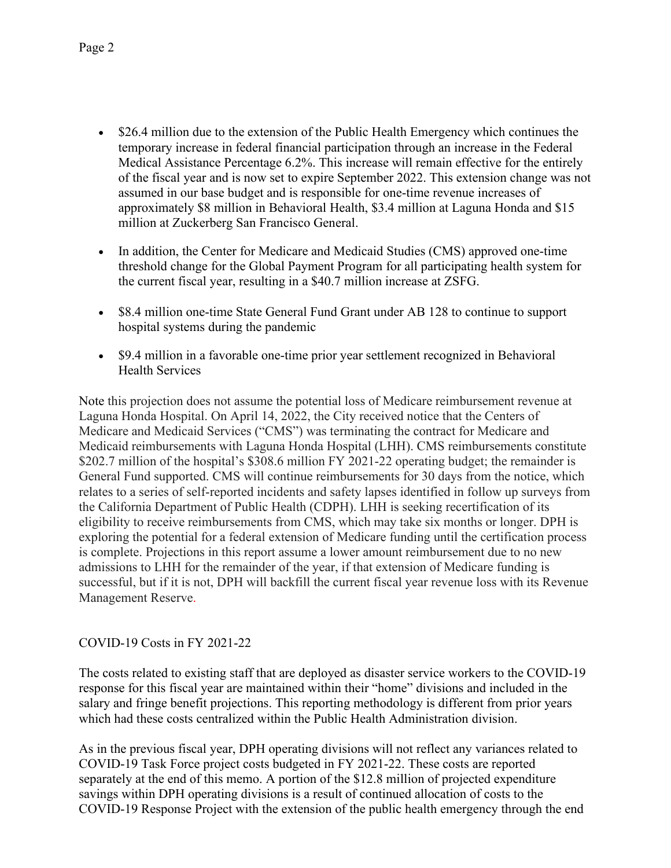- \$26.4 million due to the extension of the Public Health Emergency which continues the temporary increase in federal financial participation through an increase in the Federal Medical Assistance Percentage 6.2%. This increase will remain effective for the entirely of the fiscal year and is now set to expire September 2022. This extension change was not assumed in our base budget and is responsible for one-time revenue increases of approximately \$8 million in Behavioral Health, \$3.4 million at Laguna Honda and \$15 million at Zuckerberg San Francisco General.
- In addition, the Center for Medicare and Medicaid Studies (CMS) approved one-time threshold change for the Global Payment Program for all participating health system for the current fiscal year, resulting in a \$40.7 million increase at ZSFG.
- \$8.4 million one-time State General Fund Grant under AB 128 to continue to support hospital systems during the pandemic
- \$9.4 million in a favorable one-time prior year settlement recognized in Behavioral Health Services

Note this projection does not assume the potential loss of Medicare reimbursement revenue at Laguna Honda Hospital. On April 14, 2022, the City received notice that the Centers of Medicare and Medicaid Services ("CMS") was terminating the contract for Medicare and Medicaid reimbursements with Laguna Honda Hospital (LHH). CMS reimbursements constitute \$202.7 million of the hospital's \$308.6 million FY 2021-22 operating budget; the remainder is General Fund supported. CMS will continue reimbursements for 30 days from the notice, which relates to a series of self-reported incidents and safety lapses identified in follow up surveys from the California Department of Public Health (CDPH). LHH is seeking recertification of its eligibility to receive reimbursements from CMS, which may take six months or longer. DPH is exploring the potential for a federal extension of Medicare funding until the certification process is complete. Projections in this report assume a lower amount reimbursement due to no new admissions to LHH for the remainder of the year, if that extension of Medicare funding is successful, but if it is not, DPH will backfill the current fiscal year revenue loss with its Revenue Management Reserve.

# COVID-19 Costs in FY 2021-22

The costs related to existing staff that are deployed as disaster service workers to the COVID-19 response for this fiscal year are maintained within their "home" divisions and included in the salary and fringe benefit projections. This reporting methodology is different from prior years which had these costs centralized within the Public Health Administration division.

As in the previous fiscal year, DPH operating divisions will not reflect any variances related to COVID-19 Task Force project costs budgeted in FY 2021-22. These costs are reported separately at the end of this memo. A portion of the \$12.8 million of projected expenditure savings within DPH operating divisions is a result of continued allocation of costs to the COVID-19 Response Project with the extension of the public health emergency through the end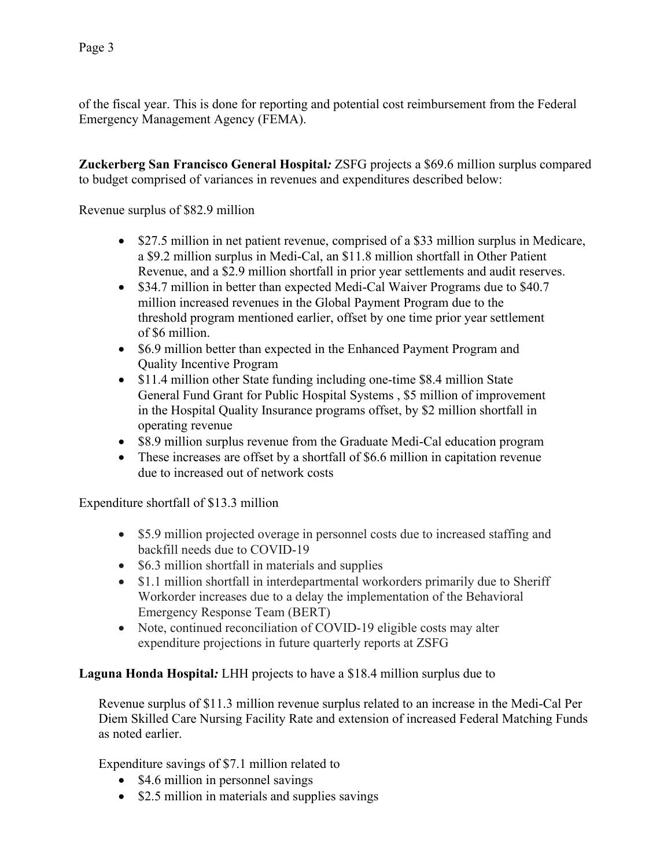of the fiscal year. This is done for reporting and potential cost reimbursement from the Federal Emergency Management Agency (FEMA).

**Zuckerberg San Francisco General Hospital***:* ZSFG projects a \$69.6 million surplus compared to budget comprised of variances in revenues and expenditures described below:

Revenue surplus of \$82.9 million

- \$27.5 million in net patient revenue, comprised of a \$33 million surplus in Medicare, a \$9.2 million surplus in Medi-Cal, an \$11.8 million shortfall in Other Patient Revenue, and a \$2.9 million shortfall in prior year settlements and audit reserves.
- \$34.7 million in better than expected Medi-Cal Waiver Programs due to \$40.7 million increased revenues in the Global Payment Program due to the threshold program mentioned earlier, offset by one time prior year settlement of \$6 million.
- \$6.9 million better than expected in the Enhanced Payment Program and Quality Incentive Program
- \$11.4 million other State funding including one-time \$8.4 million State General Fund Grant for Public Hospital Systems , \$5 million of improvement in the Hospital Quality Insurance programs offset, by \$2 million shortfall in operating revenue
- \$8.9 million surplus revenue from the Graduate Medi-Cal education program
- These increases are offset by a shortfall of \$6.6 million in capitation revenue due to increased out of network costs

Expenditure shortfall of \$13.3 million

- \$5.9 million projected overage in personnel costs due to increased staffing and backfill needs due to COVID-19
- \$6.3 million shortfall in materials and supplies
- \$1.1 million shortfall in interdepartmental workorders primarily due to Sheriff Workorder increases due to a delay the implementation of the Behavioral Emergency Response Team (BERT)
- Note, continued reconciliation of COVID-19 eligible costs may alter expenditure projections in future quarterly reports at ZSFG

**Laguna Honda Hospital***:* LHH projects to have a \$18.4 million surplus due to

Revenue surplus of \$11.3 million revenue surplus related to an increase in the Medi-Cal Per Diem Skilled Care Nursing Facility Rate and extension of increased Federal Matching Funds as noted earlier.

Expenditure savings of \$7.1 million related to

- \$4.6 million in personnel savings
- \$2.5 million in materials and supplies savings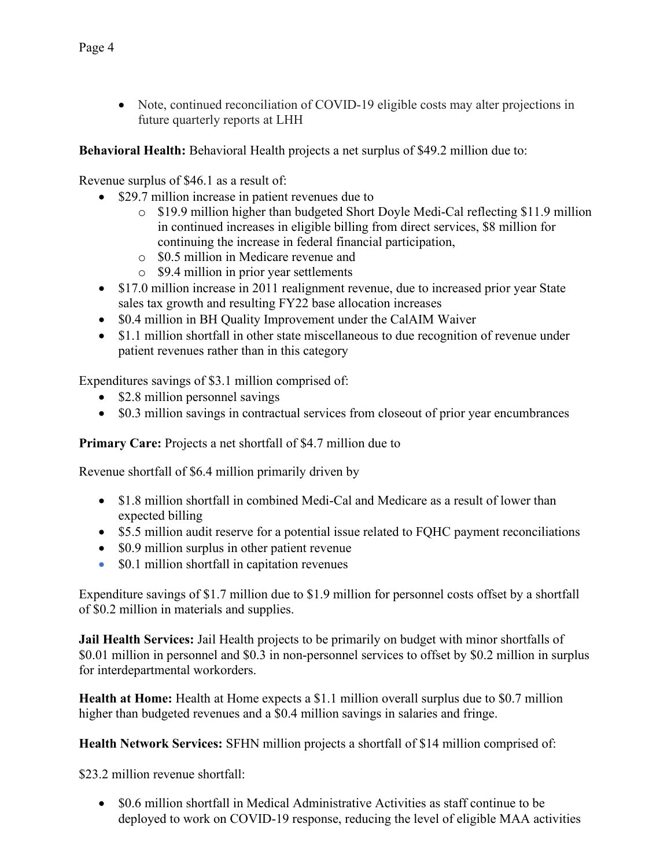• Note, continued reconciliation of COVID-19 eligible costs may alter projections in future quarterly reports at LHH

**Behavioral Health:** Behavioral Health projects a net surplus of \$49.2 million due to:

Revenue surplus of \$46.1 as a result of:

- \$29.7 million increase in patient revenues due to
	- o \$19.9 million higher than budgeted Short Doyle Medi-Cal reflecting \$11.9 million in continued increases in eligible billing from direct services, \$8 million for continuing the increase in federal financial participation,
	- o \$0.5 million in Medicare revenue and
	- o \$9.4 million in prior year settlements
- \$17.0 million increase in 2011 realignment revenue, due to increased prior year State sales tax growth and resulting FY22 base allocation increases
- \$0.4 million in BH Quality Improvement under the CalAIM Waiver
- \$1.1 million shortfall in other state miscellaneous to due recognition of revenue under patient revenues rather than in this category

Expenditures savings of \$3.1 million comprised of:

- \$2.8 million personnel savings
- \$0.3 million savings in contractual services from closeout of prior year encumbrances

**Primary Care:** Projects a net shortfall of \$4.7 million due to

Revenue shortfall of \$6.4 million primarily driven by

- \$1.8 million shortfall in combined Medi-Cal and Medicare as a result of lower than expected billing
- \$5.5 million audit reserve for a potential issue related to FQHC payment reconciliations
- \$0.9 million surplus in other patient revenue
- \$0.1 million shortfall in capitation revenues

Expenditure savings of \$1.7 million due to \$1.9 million for personnel costs offset by a shortfall of \$0.2 million in materials and supplies.

**Jail Health Services:** Jail Health projects to be primarily on budget with minor shortfalls of \$0.01 million in personnel and \$0.3 in non-personnel services to offset by \$0.2 million in surplus for interdepartmental workorders.

**Health at Home:** Health at Home expects a \$1.1 million overall surplus due to \$0.7 million higher than budgeted revenues and a \$0.4 million savings in salaries and fringe.

**Health Network Services:** SFHN million projects a shortfall of \$14 million comprised of:

\$23.2 million revenue shortfall:

• \$0.6 million shortfall in Medical Administrative Activities as staff continue to be deployed to work on COVID-19 response, reducing the level of eligible MAA activities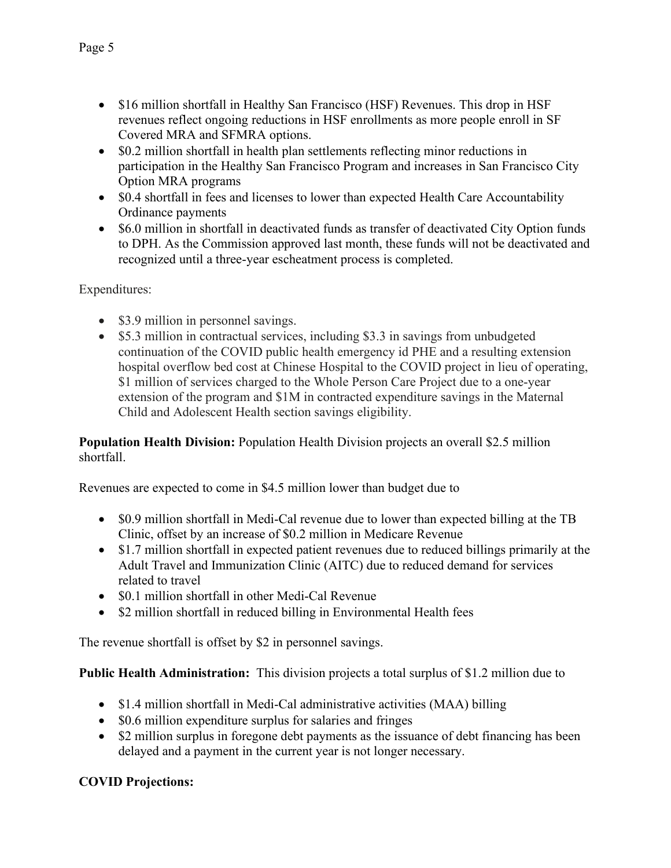- \$16 million shortfall in Healthy San Francisco (HSF) Revenues. This drop in HSF revenues reflect ongoing reductions in HSF enrollments as more people enroll in SF Covered MRA and SFMRA options.
- \$0.2 million shortfall in health plan settlements reflecting minor reductions in participation in the Healthy San Francisco Program and increases in San Francisco City Option MRA programs
- \$0.4 shortfall in fees and licenses to lower than expected Health Care Accountability Ordinance payments
- \$6.0 million in shortfall in deactivated funds as transfer of deactivated City Option funds to DPH. As the Commission approved last month, these funds will not be deactivated and recognized until a three-year escheatment process is completed.

Expenditures:

- \$3.9 million in personnel savings.
- \$5.3 million in contractual services, including \$3.3 in savings from unbudgeted continuation of the COVID public health emergency id PHE and a resulting extension hospital overflow bed cost at Chinese Hospital to the COVID project in lieu of operating, \$1 million of services charged to the Whole Person Care Project due to a one-year extension of the program and \$1M in contracted expenditure savings in the Maternal Child and Adolescent Health section savings eligibility.

**Population Health Division:** Population Health Division projects an overall \$2.5 million shortfall.

Revenues are expected to come in \$4.5 million lower than budget due to

- \$0.9 million shortfall in Medi-Cal revenue due to lower than expected billing at the TB Clinic, offset by an increase of \$0.2 million in Medicare Revenue
- \$1.7 million shortfall in expected patient revenues due to reduced billings primarily at the Adult Travel and Immunization Clinic (AITC) due to reduced demand for services related to travel
- \$0.1 million shortfall in other Medi-Cal Revenue
- \$2 million shortfall in reduced billing in Environmental Health fees

The revenue shortfall is offset by \$2 in personnel savings.

**Public Health Administration:** This division projects a total surplus of \$1.2 million due to

- \$1.4 million shortfall in Medi-Cal administrative activities (MAA) billing
- \$0.6 million expenditure surplus for salaries and fringes
- \$2 million surplus in foregone debt payments as the issuance of debt financing has been delayed and a payment in the current year is not longer necessary.

# **COVID Projections:**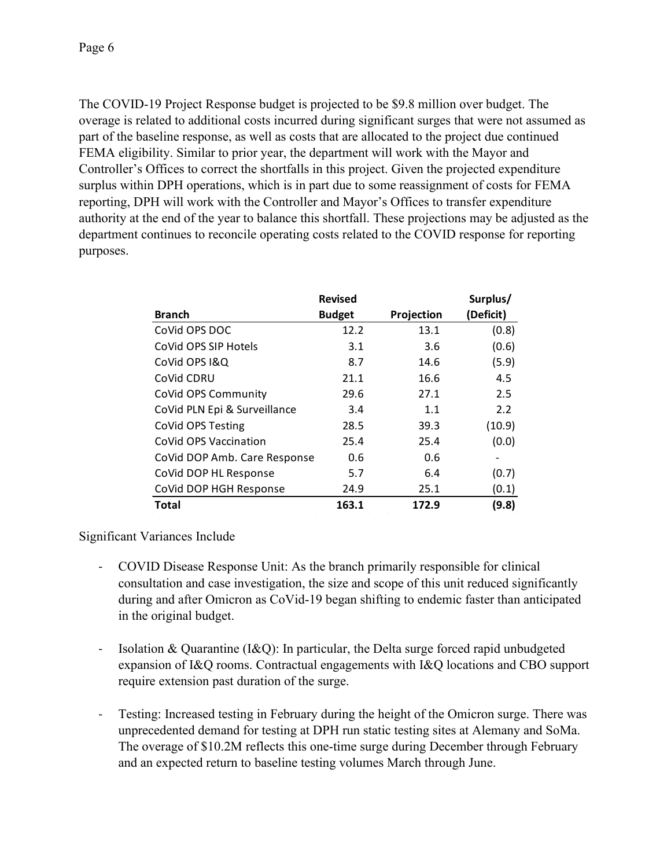The COVID-19 Project Response budget is projected to be \$9.8 million over budget. The overage is related to additional costs incurred during significant surges that were not assumed as part of the baseline response, as well as costs that are allocated to the project due continued FEMA eligibility. Similar to prior year, the department will work with the Mayor and Controller's Offices to correct the shortfalls in this project. Given the projected expenditure surplus within DPH operations, which is in part due to some reassignment of costs for FEMA reporting, DPH will work with the Controller and Mayor's Offices to transfer expenditure authority at the end of the year to balance this shortfall. These projections may be adjusted as the department continues to reconcile operating costs related to the COVID response for reporting purposes.

|                              | <b>Revised</b> |            | Surplus/  |
|------------------------------|----------------|------------|-----------|
| <b>Branch</b>                | <b>Budget</b>  | Projection | (Deficit) |
| CoVid OPS DOC                | 12.2           | 13.1       | (0.8)     |
| CoVid OPS SIP Hotels         | 3.1            | 3.6        | (0.6)     |
| CoVid OPS I&Q                | 8.7            | 14.6       | (5.9)     |
| CoVid CDRU                   | 21.1           | 16.6       | 4.5       |
| CoVid OPS Community          | 29.6           | 27.1       | 2.5       |
| CoVid PLN Epi & Surveillance | 3.4            | 1.1        | 2.2       |
| CoVid OPS Testing            | 28.5           | 39.3       | (10.9)    |
| CoVid OPS Vaccination        | 25.4           | 25.4       | (0.0)     |
| CoVid DOP Amb. Care Response | 0.6            | 0.6        |           |
| CoVid DOP HL Response        | 5.7            | 6.4        | (0.7)     |
| CoVid DOP HGH Response       | 24.9           | 25.1       | (0.1)     |
| <b>Total</b>                 | 163.1          | 172.9      | (9.8)     |

# Significant Variances Include

- COVID Disease Response Unit: As the branch primarily responsible for clinical consultation and case investigation, the size and scope of this unit reduced significantly during and after Omicron as CoVid-19 began shifting to endemic faster than anticipated in the original budget.
- Isolation & Quarantine (I&Q): In particular, the Delta surge forced rapid unbudgeted expansion of I&Q rooms. Contractual engagements with I&Q locations and CBO support require extension past duration of the surge.
- Testing: Increased testing in February during the height of the Omicron surge. There was unprecedented demand for testing at DPH run static testing sites at Alemany and SoMa. The overage of \$10.2M reflects this one-time surge during December through February and an expected return to baseline testing volumes March through June.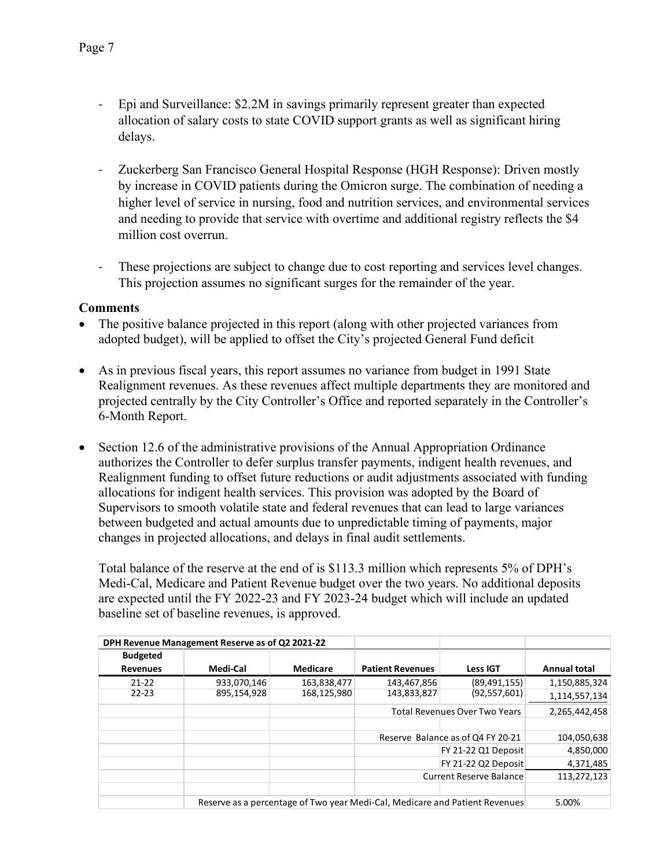- Epi and Surveillance: \$2.2M in savings primarily represent greater than expected allocation of salary costs to state COVID support grants as well as significant hiring delays.
- Zuckerberg San Francisco General Hospital Response (HGH Response): Driven mostly by increase in COVID patients during the Omicron surge. The combination of needing a higher level of service in nursing, food and nutrition services, and environmental services and needing to provide that service with overtime and additional registry reflects the \$4 million cost overrun.
- These projections are subject to change due to cost reporting and services level changes. This projection assumes no significant surges for the remainder of the year.

## **Comments**

- The positive balance projected in this report (along with other projected variances from adopted budget), will be applied to offset the City's projected General Fund deficit
- As in previous fiscal years, this report assumes no variance from budget in 1991 State Realignment revenues. As these revenues affect multiple departments they are monitored and projected centrally by the City Controller's Office and reported separately in the Controller's 6-Month Report.
- Section 12.6 of the administrative provisions of the Annual Appropriation Ordinance authorizes the Controller to defer surplus transfer payments, indigent health revenues, and Realignment funding to offset future reductions or audit adjustments associated with funding allocations for indigent health services. This provision was adopted by the Board of Supervisors to smooth volatile state and federal revenues that can lead to large variances between budgeted and actual amounts due to unpredictable timing of payments, major changes in projected allocations, and delays in final audit settlements.

Total balance of the reserve at the end of is \$113.3 million which represents 5% of DPH's Medi-Cal, Medicare and Patient Revenue budget over the two years. No additional deposits are expected until the FY 2022-23 and FY 2023-24 budget which will include an updated baseline set of baseline revenues, is approved.

|                 | DPH Revenue Management Reserve as of Q2 2021-22 |             |                         |                                                                             |                     |
|-----------------|-------------------------------------------------|-------------|-------------------------|-----------------------------------------------------------------------------|---------------------|
| <b>Budgeted</b> |                                                 |             |                         |                                                                             |                     |
| <b>Revenues</b> | Medi-Cal                                        | Medicare    | <b>Patient Revenues</b> | <b>Less IGT</b>                                                             | <b>Annual total</b> |
| $21 - 22$       | 933,070,146                                     | 163,838,477 | 143,467,856             | (89, 491, 155)                                                              | 1,150,885,324       |
| $22 - 23$       | 895,154,928                                     | 168,125,980 | 143,833,827             | (92, 557, 601)                                                              | 1,114,557,134       |
|                 |                                                 |             |                         | <b>Total Revenues Over Two Years</b>                                        | 2,265,442,458       |
|                 |                                                 |             |                         |                                                                             |                     |
|                 |                                                 |             |                         | Reserve Balance as of Q4 FY 20-21                                           | 104,050,638         |
|                 |                                                 |             |                         | FY 21-22 Q1 Deposit                                                         | 4,850,000           |
|                 |                                                 |             |                         | FY 21-22 Q2 Deposit                                                         | 4,371,485           |
|                 |                                                 |             |                         | <b>Current Reserve Balance</b>                                              | 113,272,123         |
|                 |                                                 |             |                         |                                                                             |                     |
|                 |                                                 |             |                         | Reserve as a percentage of Two year Medi-Cal, Medicare and Patient Revenues | 5.00%               |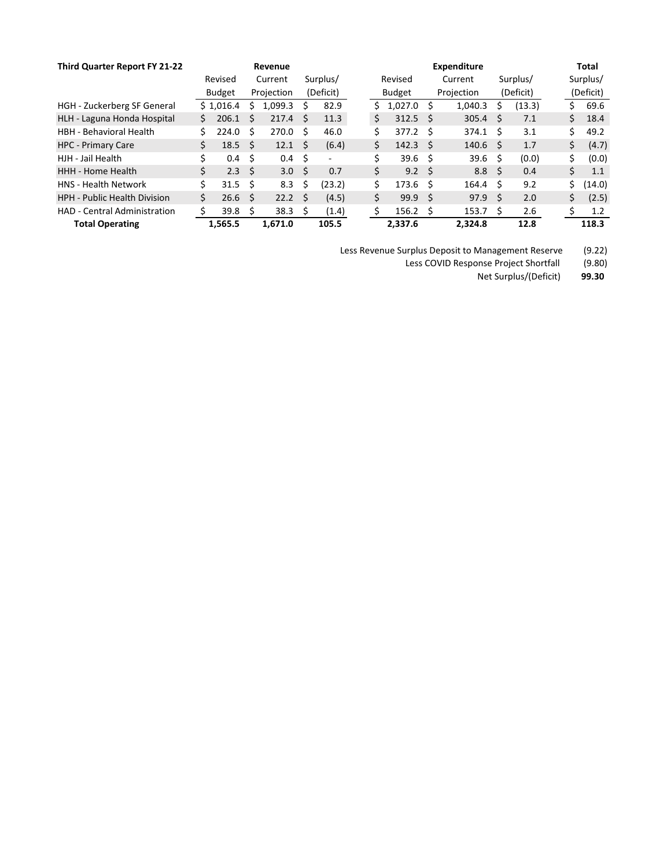| Third Quarter Report FY 21-22       |    |               |              | Revenue        |      |                          |    |                  |      | <b>Expenditure</b> |    |           |     | Total     |
|-------------------------------------|----|---------------|--------------|----------------|------|--------------------------|----|------------------|------|--------------------|----|-----------|-----|-----------|
|                                     |    | Revised       |              | Current        |      | Surplus/                 |    | Revised          |      | Current            |    | Surplus/  |     | Surplus/  |
|                                     |    | <b>Budget</b> |              | Projection     |      | (Deficit)                |    | <b>Budget</b>    |      | Projection         |    | (Deficit) |     | (Deficit) |
| <b>HGH</b> - Zuckerberg SF General  |    | \$1.016.4     | S            | 1.099.3        | S    | 82.9                     | S  | 1.027.0          | S.   | 1,040.3            | s  | (13.3)    | s   | 69.6      |
| HLH - Laguna Honda Hospital         | Ś. | 206.1         | S            | 217.4          | 5    | 11.3                     | \$ | $312.5$ \$       |      | 305.4              | S  | 7.1       | Ś.  | 18.4      |
| <b>HBH - Behavioral Health</b>      |    | 224.0         | Ś            | 270.0          | - \$ | 46.0                     | Ś  | 377.2            | - \$ | 374.1              | Ŝ  | 3.1       | Ś.  | 49.2      |
| <b>HPC - Primary Care</b>           | Ś. | 18.5          | <sub>S</sub> | $12.1 \quad$   |      | (6.4)                    | \$ | $142.3 \quad$    |      | 140.6 <sup>5</sup> |    | 1.7       | \$. | (4.7)     |
| HJH - Jail Health                   | \$ | 0.4           | \$           | $0.4 \quad$ \$ |      | $\overline{\phantom{a}}$ | \$ | 39.6             | - \$ | 39.6               | Ŝ  | (0.0)     | \$. | (0.0)     |
| HHH - Home Health                   | \$ | 2.3           | Ŝ            | 3.0            | - \$ | 0.7                      | \$ | 9.2 <sup>5</sup> |      | 8.8 <sup>5</sup>   |    | 0.4       | \$. | 1.1       |
| <b>HNS</b> - Health Network         | Ś. | 31.5          | Ŝ            | 8.3            | Ŝ    | (23.2)                   | Ś  | 173.6            | -S   | 164.4              | Ŝ  | 9.2       | Ś.  | (14.0)    |
| <b>HPH - Public Health Division</b> | Ś. | 26.6          | Ŝ            | 22.2           | - \$ | (4.5)                    | \$ | 99.9             | -\$  | 97.9               | \$ | 2.0       | \$. | (2.5)     |
| <b>HAD - Central Administration</b> |    | 39.8          | Ŝ            | 38.3           | - \$ | (1.4)                    | Ś  | $156.2 \quad$ \$ |      | 153.7              | -S | 2.6       |     | 1.2       |
| <b>Total Operating</b>              |    | 1.565.5       |              | 1.671.0        |      | 105.5                    |    | 2.337.6          |      | 2.324.8            |    | 12.8      |     | 118.3     |

Less Revenue Surplus Deposit to Management Reserve (9.22)

Less COVID Response Project Shortfall (9.80)

Net Surplus/(Deficit) **99.30**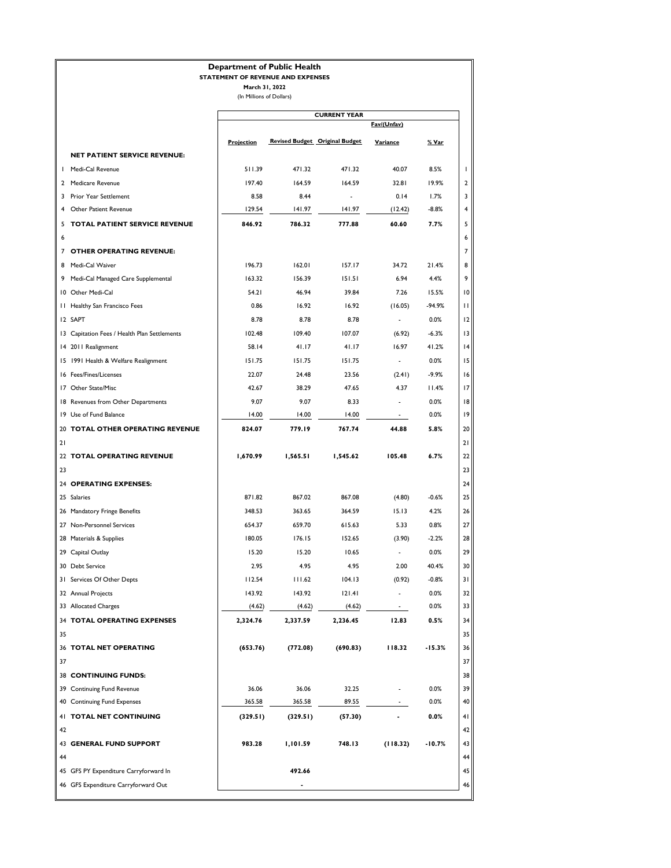#### **Department of Public Health**

#### **STATEMENT OF REVENUE AND EXPENSES**

|                                                              |            |          | <b>CURRENT YEAR</b>                   |                          |              |
|--------------------------------------------------------------|------------|----------|---------------------------------------|--------------------------|--------------|
|                                                              |            |          |                                       | Fav/(Unfav)              |              |
|                                                              | Projection |          | <b>Revised Budget Original Budget</b> | Variance                 | % Var        |
| <b>NET PATIENT SERVICE REVENUE:</b>                          |            |          |                                       |                          |              |
| I Medi-Cal Revenue                                           | 511.39     | 471.32   | 471.32                                | 40.07                    | 8.5%         |
| 2 Medicare Revenue                                           | 197.40     | 164.59   | 164.59                                | 32.81                    | 19.9%        |
| 3 Prior Year Settlement                                      | 8.58       | 8.44     |                                       | 0.14                     | 1.7%         |
| Other Patient Revenue<br>4                                   | 129.54     | 141.97   | 141.97                                | (12.42)                  | $-8.8%$      |
| TOTAL PATIENT SERVICE REVENUE<br>5                           | 846.92     | 786.32   | 777.88                                | 60.60                    | 7.7%         |
| 6<br>7 OTHER OPERATING REVENUE:                              |            |          |                                       |                          |              |
| Medi-Cal Waiver<br>8                                         | 196.73     | 162.01   | 157.17                                | 34.72                    | 21.4%        |
| 9 Medi-Cal Managed Care Supplemental                         | 163.32     | 156.39   | 151.51                                | 6.94                     | 4.4%         |
| 10 Other Medi-Cal                                            | 54.21      | 46.94    | 39.84                                 | 7.26                     | 15.5%        |
| 11 Healthy San Francisco Fees                                | 0.86       | 16.92    | 16.92                                 | (16.05)                  | $-94.9%$     |
| 12 SAPT                                                      | 8.78       | 8.78     | 8.78                                  | $\overline{a}$           | 0.0%         |
| 13 Capitation Fees / Health Plan Settlements                 | 102.48     | 109.40   | 107.07                                | (6.92)                   | $-6.3%$      |
| 14 2011 Realignment                                          | 58.14      | 41.17    | 41.17                                 | 16.97                    | 41.2%        |
| 15 1991 Health & Welfare Realignment                         | 151.75     | 151.75   | 151.75                                | $\blacksquare$           | 0.0%         |
| 16 Fees/Fines/Licenses                                       | 22.07      | 24.48    | 23.56                                 | (2.41)                   | $-9.9%$      |
| 17 Other State/Misc                                          | 42.67      | 38.29    | 47.65                                 | 4.37                     | 11.4%        |
|                                                              |            |          |                                       |                          |              |
| 18 Revenues from Other Departments<br>19 Use of Fund Balance | 9.07       | 9.07     | 8.33<br>14.00                         | $\overline{\phantom{a}}$ | 0.0%<br>0.0% |
|                                                              | 14.00      | 14.00    |                                       |                          |              |
| 20 TOTAL OTHER OPERATING REVENUE<br>21                       | 824.07     | 779.19   | 767.74                                | 44.88                    | 5.8%         |
| 22 TOTAL OPERATING REVENUE                                   | 1,670.99   | 1,565.51 | 1,545.62                              | 105.48                   | 6.7%         |
| 23                                                           |            |          |                                       |                          |              |
| 24 OPERATING EXPENSES:                                       |            |          |                                       |                          |              |
| 25 Salaries                                                  | 871.82     | 867.02   | 867.08                                | (4.80)                   | $-0.6%$      |
| 26 Mandatory Fringe Benefits                                 | 348.53     | 363.65   | 364.59                                | 15.13                    | 4.2%         |
| 27 Non-Personnel Services                                    | 654.37     | 659.70   | 615.63                                | 5.33                     | 0.8%         |
| 28 Materials & Supplies                                      | 180.05     | 176.15   | 152.65                                | (3.90)                   | $-2.2%$      |
| 29 Capital Outlay                                            | 15.20      | 15.20    | 10.65                                 | $\blacksquare$           | 0.0%         |
| 30 Debt Service                                              | 2.95       | 4.95     | 4.95                                  | 2.00                     | 40.4%        |
| 31 Services Of Other Depts                                   | 112.54     | 111.62   | 104.13                                | (0.92)                   | $-0.8%$      |
| 32 Annual Projects                                           | 143.92     | 143.92   | 121.41                                | $\overline{\phantom{a}}$ | 0.0%         |
| 33 Allocated Charges                                         | (4.62)     | (4.62)   | (4.62)                                |                          | 0.0%         |
| 34 TOTAL OPERATING EXPENSES                                  | 2,324.76   | 2,337.59 | 2,236.45                              | 12.83                    | 0.5%         |
| 35                                                           |            |          |                                       |                          |              |
| 36 TOTAL NET OPERATING                                       | (653.76)   | (772.08) | (690.83)                              | 118.32                   | $-15.3%$     |
| 37                                                           |            |          |                                       |                          |              |
| 38 CONTINUING FUNDS:                                         |            |          |                                       |                          |              |
| 39 Continuing Fund Revenue                                   | 36.06      | 36.06    | 32.25                                 | $\overline{\phantom{a}}$ | 0.0%         |
| 40 Continuing Fund Expenses                                  | 365.58     | 365.58   | 89.55                                 | $\overline{\phantom{a}}$ | 0.0%         |
|                                                              |            |          |                                       |                          |              |
| 41 TOTAL NET CONTINUING                                      | (329.51)   | (329.51) | (57.30)                               |                          | 0.0%         |
| 42                                                           |            |          |                                       |                          |              |
| <b>43 GENERAL FUND SUPPORT</b>                               | 983.28     | 1,101.59 | 748.13                                | (118.32)                 | $-10.7%$     |
| 44                                                           |            |          |                                       |                          |              |
| 45 GFS PY Expenditure Carryforward In                        |            | 492.66   |                                       |                          |              |
| 46 GFS Expenditure Carryforward Out                          |            |          |                                       |                          |              |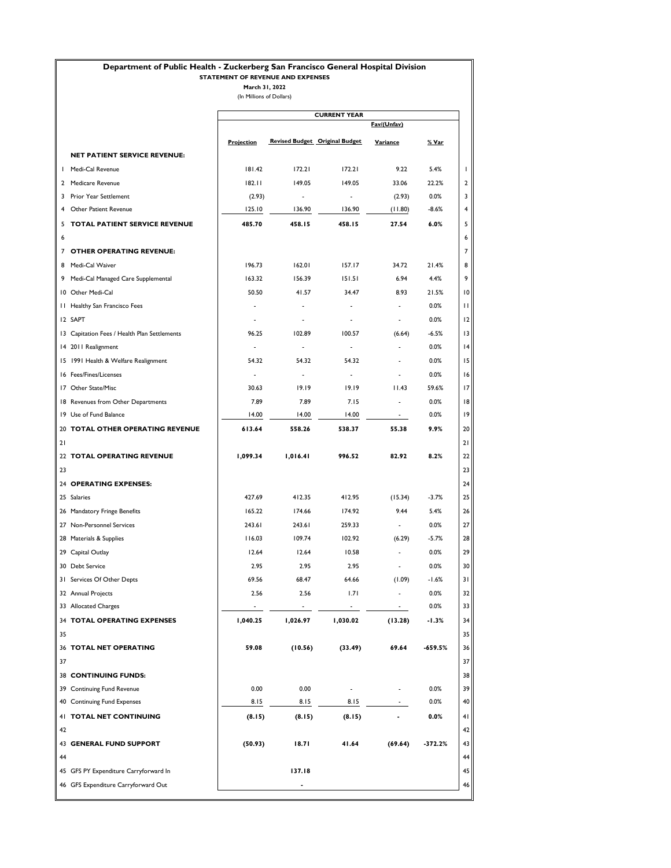### **Department of Public Health - Zuckerberg San Francisco General Hospital Division**

#### **STATEMENT OF REVENUE AND EXPENSES**

**March 31, 2022** (In Millions of Dollars)

|    |                                              |                          |                          | <b>CURRENT YEAR</b>                   |                          |           |
|----|----------------------------------------------|--------------------------|--------------------------|---------------------------------------|--------------------------|-----------|
|    |                                              |                          |                          |                                       | Fav/(Unfav)              |           |
|    |                                              | <b>Projection</b>        |                          | <b>Revised Budget Original Budget</b> | Variance                 | % Var     |
|    | <b>NET PATIENT SERVICE REVENUE:</b>          |                          |                          |                                       |                          |           |
|    | I Medi-Cal Revenue                           | 181.42                   | 172.21                   | 172.21                                | 9.22                     | 5.4%      |
|    | 2 Medicare Revenue                           | 182.11                   | 149.05                   | 149.05                                | 33.06                    | 22.2%     |
|    | 3 Prior Year Settlement                      | (2.93)                   | $\overline{\phantom{a}}$ |                                       | (2.93)                   | 0.0%      |
|    | <b>Other Patient Revenue</b>                 | 125.10                   | 136.90                   | 136.90                                | (11.80)                  | $-8.6%$   |
| 5  | <b>TOTAL PATIENT SERVICE REVENUE</b>         | 485.70                   | 458.15                   | 458.15                                | 27.54                    | 6.0%      |
| 6  |                                              |                          |                          |                                       |                          |           |
|    | 7 OTHER OPERATING REVENUE:                   |                          |                          |                                       |                          |           |
|    | 8 Medi-Cal Waiver                            | 196.73                   | 162.01                   | 157.17                                | 34.72                    | 21.4%     |
|    | 9 Medi-Cal Managed Care Supplemental         | 163.32                   | 156.39                   | 151.51                                | 6.94                     | 4.4%      |
|    | 10 Other Medi-Cal                            | 50.50                    | 41.57                    | 34.47                                 | 8.93                     | 21.5%     |
|    | 11 Healthy San Francisco Fees                |                          |                          |                                       |                          | 0.0%      |
|    | I2 SAPT                                      | $\overline{\phantom{a}}$ |                          | $\qquad \qquad \blacksquare$          |                          | 0.0%      |
|    | 13 Capitation Fees / Health Plan Settlements | 96.25                    | 102.89                   | 100.57                                | (6.64)                   | $-6.5%$   |
|    | 14 2011 Realignment                          | $\overline{\phantom{a}}$ | $\overline{\phantom{0}}$ | $\overline{\phantom{a}}$              | $\overline{a}$           | 0.0%      |
|    |                                              |                          |                          |                                       |                          |           |
|    | 15 1991 Health & Welfare Realignment         | 54.32                    | 54.32                    | 54.32                                 |                          | 0.0%      |
|    | 16 Fees/Fines/Licenses                       | $\overline{\phantom{a}}$ | $\overline{a}$           | $\overline{\phantom{a}}$              |                          | 0.0%      |
|    | 17 Other State/Misc                          | 30.63                    | 19.19                    | 19.19                                 | 11.43                    | 59.6%     |
|    | 18 Revenues from Other Departments           | 7.89                     | 7.89                     | 7.15                                  | $\blacksquare$           | 0.0%      |
|    | 19 Use of Fund Balance                       | 14.00                    | 14.00                    | 14.00                                 | $\sim$                   | 0.0%      |
|    | 20 TOTAL OTHER OPERATING REVENUE             | 613.64                   | 558.26                   | 538.37                                | 55.38                    | 9.9%      |
| 21 |                                              |                          |                          |                                       |                          |           |
|    | 22 TOTAL OPERATING REVENUE                   | 1,099.34                 | 1,016.41                 | 996.52                                | 82.92                    | 8.2%      |
| 23 |                                              |                          |                          |                                       |                          |           |
|    | 24 OPERATING EXPENSES:                       |                          |                          |                                       |                          |           |
|    | 25 Salaries                                  | 427.69                   | 412.35                   | 412.95                                | (15.34)                  | $-3.7%$   |
|    | 26 Mandatory Fringe Benefits                 | 165.22                   | 174.66                   | 174.92                                | 9.44                     | 5.4%      |
|    | 27 Non-Personnel Services                    | 243.61                   | 243.61                   | 259.33                                | $\sim$                   | 0.0%      |
|    | 28 Materials & Supplies                      | 116.03                   | 109.74                   | 102.92                                | (6.29)                   | $-5.7%$   |
|    | 29 Capital Outlay                            | 12.64                    | 12.64                    | 10.58                                 |                          | 0.0%      |
|    | 30 Debt Service                              | 2.95                     | 2.95                     | 2.95                                  | $\overline{\phantom{a}}$ | 0.0%      |
|    | 31 Services Of Other Depts                   | 69.56                    | 68.47                    | 64.66                                 | (1.09)                   | -1.6%     |
|    | 32 Annual Projects                           | 2.56                     | 2.56                     | 1.71                                  |                          | 0.0%      |
|    | 33 Allocated Charges                         |                          |                          |                                       | ÷.                       | 0.0%      |
|    | 34 TOTAL OPERATING EXPENSES                  | 1,040.25                 | 1,026.97                 | 1,030.02                              | (13.28)                  | $-1.3%$   |
| 35 |                                              |                          |                          |                                       |                          |           |
|    | 36 TOTAL NET OPERATING                       | 59.08                    | (10.56)                  | (33.49)                               | 69.64                    | $-659.5%$ |
| 37 |                                              |                          |                          |                                       |                          |           |
|    | <b>38 CONTINUING FUNDS:</b>                  |                          |                          |                                       |                          |           |
|    | 39 Continuing Fund Revenue                   | 0.00                     | 0.00                     | Ĭ.                                    |                          | 0.0%      |
|    | 40 Continuing Fund Expenses                  | 8.15                     | 8.15                     | 8.15                                  | $\overline{\phantom{a}}$ | 0.0%      |
|    | 41 TOTAL NET CONTINUING                      | (8.15)                   | (8.15)                   | (8.15)                                |                          | 0.0%      |
| 42 |                                              |                          |                          |                                       |                          |           |
|    | 43 GENERAL FUND SUPPORT                      | (50.93)                  | 18.71                    | 41.64                                 | (69.64)                  | $-372.2%$ |
| 44 |                                              |                          |                          |                                       |                          |           |
|    | 45 GFS PY Expenditure Carryforward In        |                          | 137.18                   |                                       |                          |           |
|    | 46 GFS Expenditure Carryforward Out          |                          |                          |                                       |                          |           |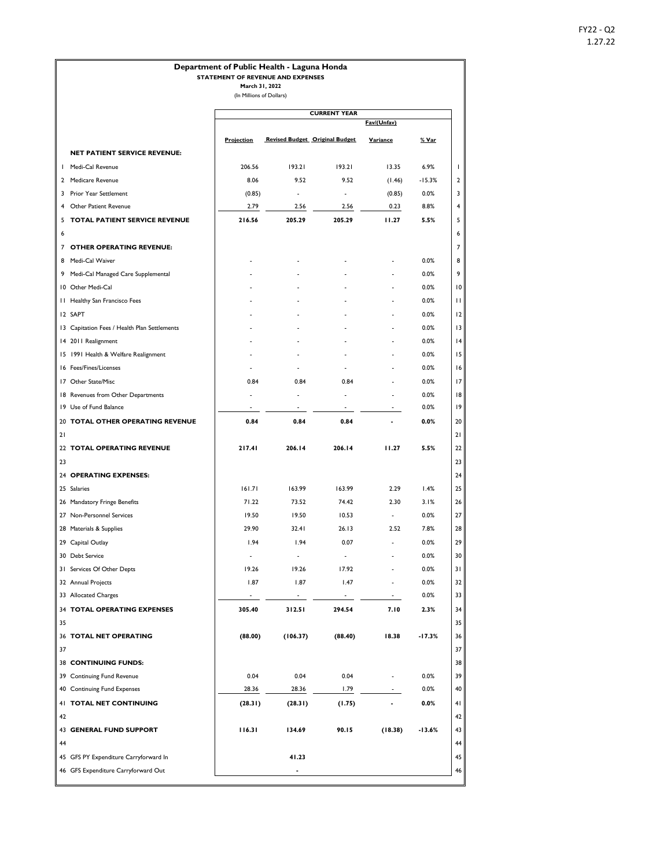## **Fav/(Unfav) Projection Revised Budget Original Budget Variance % Var NET PATIENT SERVICE REVENUE:** 1 Medi-Cal Revenue 206.56 193.21 193.21 13.35 6.9% 1 2 Medicare Revenue 2 2 Medicare Revenue 2 8.06 9.52 9.52 (1.46) -15.3% 2 3 Prior Year Settlement (0.85) - - (0.85) 0.0% 3 4 Other Patient Revenue 2.79 2.56 2.56 0.23 8.8% 4 5 **TOTAL PATIENT SERVICE REVENUE 216.56 205.29 205.29 11.27 5.5%** 5 6 6 7 **OTHER OPERATING REVENUE:** 7 8 Medi-Cal Waiver - - - - 0.0% 8 9 Medi-Cal Managed Care Supplemental - - - - 0.0% 9 10 Other Medi-Cal - - - - 0.0% 10 11 Healthy San Francisco Fees - - - - 0.0% 11 12 SAPT - - - - 0.0% 12 13 Capitation Fees / Health Plan Settlements - - - - - - - - - - - - - - 0.0% 13 14 2011 Realignment 14 2011 Realignment 14 2011 Realignment 14 2011 Realignment 14 2011 Realignment 14 14 14 15 15 1991 Health & Welfare Realignment 15 1991 Health & Welfare Realignment 15 1992 15 16 Fees/Fines/Licenses - - - - 0.0% 16 17 Other State/Misc **0.84** 0.84 0.84 0.84 - 0.0% 17 18 Revenues from Other Departments 18 and 18 and 18 and 18 and 18 and 18 and 18 and 18 and 18 and 18 and 18 and 18 and 18 and 18 and 18 and 18 and 18 and 18 and 18 and 18 and 18 and 18 and 18 and 18 and 18 and 18 and 18 an 19 Use of Fund Balance - - - - 0.0% 19 20 **TOTAL OTHER OPERATING REVENUE 0.84** 0.84 0.84 0.84 - 0.0% 20 21 21 22 **TOTAL OPERATING REVENUE 217.41 206.14 206.14 11.27 5.5%** 22 23 23 24 **OPERATING EXPENSES:** 24 25 Salaries 161.71 161.71 163.99 163.99 163.29 1.4% 25 26 Mandatory Fringe Benefits 71.22 73.52 74.42 2.30 3.1% 26 27 Non-Personnel Services 27 Non-Personnel Services 27 Non-Personnel Services 27 28 Materials & Supplies 29.90 32.41 26.13 2.52 7.8% 28 29 Capital Outlay 1.94 1.94 1.94 0.07 - 0.0% 29 30 Debt Service 200 Protocol 200 Protocol 200 Protocol 200 Protocol 200 Protocol 200 Protocol 30 Protocol 30 Protocol 30 Protocol 30 Protocol 30 Protocol 200 Protocol 30 Protocol 30 Protocol 30 Protocol 30 Protocol 30 Prot 31 Services Of Other Depts 19.26 19.26 19.26 17.92 - 0.0% 31 32 Annual Projects 2.87 1.87 1.47 - 0.0% 32 33 Allocated Charges 33 Allocated Charges 33 Allocated Charges 33 Allocated Charges 33 Allocated Charges 33 Allocated Charges 33 Allocated Charges 33 Allocated Charges 33 Allocated Charges 33 Allocated Charges 33 Allocated 34 **TOTAL OPERATING EXPENSES 305.40 312.51 294.54 7.10 2.3%** 34  $\overline{\phantom{a}}$  35  $\overline{\phantom{a}}$  35 36 **TOTAL NET OPERATING (88.00) (106.37) (88.40) 18.38 -17.3%** 36 37 37 38 **CONTINUING FUNDS:** 38 39 Continuing Fund Revenue 0.04 0.04 0.04 - 0.0% 39 40 Continuing Fund Expenses 28.36 28.36 28.36 28.36 1.79 - 0.0% 40 41 **TOTAL NET CONTINUING (28.31) (28.31) (1.75) - 0.0%** 41  $\overline{a}$  42 43 **GENERAL FUND SUPPORT 116.31 134.69 90.15 (18.38) -13.6%** 43 44 44 45 GFS PY Expenditure Carryforward In **41.23** 45 46 GFS Expenditure Carryforward Out **-** 46 **Department of Public Health - Laguna Honda STATEMENT OF REVENUE AND EXPENSES March 31, 2022** (In Millions of Dollars) **CURRENT YEAR**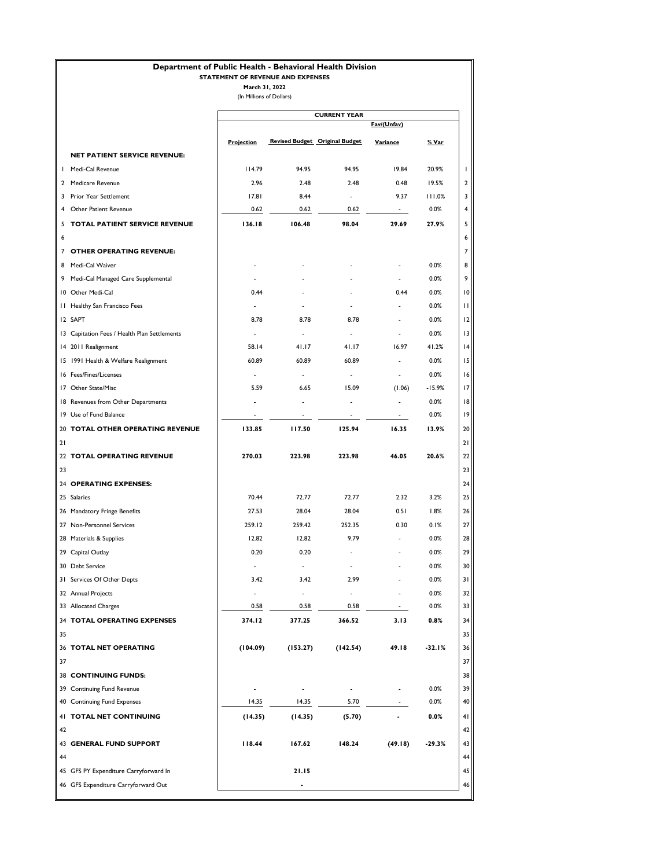## **Department of Public Health - Behavioral Health Division**

### **STATEMENT OF REVENUE AND EXPENSES**

|  |  |  | (In Millions of Dollars) |  |
|--|--|--|--------------------------|--|
|--|--|--|--------------------------|--|

|    |                                              |                          |                          | <b>CURRENT YEAR</b>                   |                          |          |
|----|----------------------------------------------|--------------------------|--------------------------|---------------------------------------|--------------------------|----------|
|    |                                              |                          |                          |                                       | Fav/(Unfav)              |          |
|    |                                              | <b>Projection</b>        |                          | <b>Revised Budget Original Budget</b> | Variance                 | % Var    |
|    | <b>NET PATIENT SERVICE REVENUE:</b>          |                          |                          |                                       |                          |          |
|    | I Medi-Cal Revenue                           | 114.79                   | 94.95                    | 94.95                                 | 19.84                    | 20.9%    |
|    | 2 Medicare Revenue                           | 2.96                     | 2.48                     | 2.48                                  | 0.48                     | 19.5%    |
| 3  | Prior Year Settlement                        | 17.81                    | 8.44                     | ÷                                     | 9.37                     | 111.0%   |
|    | Other Patient Revenue                        | 0.62                     | 0.62                     | 0.62                                  |                          | 0.0%     |
| 5  | TOTAL PATIENT SERVICE REVENUE                | 136.18                   | 106.48                   | 98.04                                 | 29.69                    | 27.9%    |
| 6  |                                              |                          |                          |                                       |                          |          |
|    | 7 OTHER OPERATING REVENUE:                   |                          |                          |                                       |                          |          |
|    | 8 Medi-Cal Waiver                            |                          |                          |                                       |                          | 0.0%     |
|    | 9 Medi-Cal Managed Care Supplemental         |                          |                          |                                       |                          | 0.0%     |
|    | 10 Other Medi-Cal                            | 0.44                     |                          |                                       | 0.44                     | 0.0%     |
|    | 11 Healthy San Francisco Fees                |                          |                          |                                       |                          | 0.0%     |
|    | I2 SAPT                                      | 8.78                     | 8.78                     | 8.78                                  |                          | 0.0%     |
|    | 13 Capitation Fees / Health Plan Settlements |                          |                          |                                       |                          | 0.0%     |
|    | 14 2011 Realignment                          | 58.14                    | 41.17                    | 41.17                                 | 16.97                    | 41.2%    |
|    | 15 1991 Health & Welfare Realignment         | 60.89                    | 60.89                    | 60.89                                 |                          | 0.0%     |
|    | 16 Fees/Fines/Licenses                       | $\overline{\phantom{a}}$ | $\overline{\phantom{a}}$ | ÷                                     | $\overline{\phantom{a}}$ | 0.0%     |
|    | 17 Other State/Misc                          | 5.59                     | 6.65                     | 15.09                                 | (1.06)                   | $-15.9%$ |
|    | 18 Revenues from Other Departments           |                          | $\overline{a}$           | ÷                                     | $\overline{\phantom{a}}$ | 0.0%     |
|    | 19 Use of Fund Balance                       | $\overline{\phantom{a}}$ | $\overline{\phantom{a}}$ | $\overline{\phantom{a}}$              | $\sim$                   | 0.0%     |
|    | 20 TOTAL OTHER OPERATING REVENUE             | 133.85                   | 117.50                   | 125.94                                | 16.35                    | 13.9%    |
| 21 |                                              |                          |                          |                                       |                          |          |
|    | 22 TOTAL OPERATING REVENUE                   | 270.03                   | 223.98                   | 223.98                                | 46.05                    | 20.6%    |
| 23 |                                              |                          |                          |                                       |                          |          |
|    | 24 OPERATING EXPENSES:                       |                          |                          |                                       |                          |          |
|    | 25 Salaries                                  | 70.44                    | 72.77                    | 72.77                                 | 2.32                     | 3.2%     |
|    | 26 Mandatory Fringe Benefits                 | 27.53                    | 28.04                    | 28.04                                 | 0.51                     | 1.8%     |
|    | 27 Non-Personnel Services                    | 259.12                   | 259.42                   | 252.35                                | 0.30                     | 0.1%     |
|    | 28 Materials & Supplies                      | 12.82                    | 12.82                    | 9.79                                  |                          | 0.0%     |
|    | 29 Capital Outlay                            | 0.20                     | 0.20                     | ٠                                     |                          | 0.0%     |
|    | 30 Debt Service                              | $\overline{\phantom{a}}$ | $\overline{\phantom{a}}$ | ٠                                     |                          | 0.0%     |
|    | 31 Services Of Other Depts                   | 3.42                     | 3.42                     | 2.99                                  |                          | 0.0%     |
|    | 32 Annual Projects                           |                          | $\overline{a}$           | $\overline{a}$                        |                          | 0.0%     |
|    | 33 Allocated Charges                         | 0.58                     | 0.58                     | 0.58                                  | $\overline{\phantom{a}}$ | 0.0%     |
|    | 34 TOTAL OPERATING EXPENSES                  | 374.12                   | 377.25                   | 366.52                                | 3.13                     | 0.8%     |
| 35 |                                              |                          |                          |                                       |                          |          |
|    | 36 TOTAL NET OPERATING                       | (104.09)                 | (153.27)                 | (142.54)                              | 49.18                    | $-32.1%$ |
| 37 |                                              |                          |                          |                                       |                          |          |
|    | <b>38 CONTINUING FUNDS:</b>                  |                          |                          |                                       |                          |          |
|    | 39 Continuing Fund Revenue                   |                          | $\overline{\phantom{a}}$ | ٠                                     |                          | 0.0%     |
|    | 40 Continuing Fund Expenses                  | 14.35                    | 14.35                    | 5.70                                  |                          | 0.0%     |
|    | 41 TOTAL NET CONTINUING                      | (14.35)                  | (14.35)                  | (5.70)                                |                          | $0.0\%$  |
| 42 |                                              |                          |                          |                                       |                          |          |
|    | 43 GENERAL FUND SUPPORT                      | 118.44                   | 167.62                   | 148.24                                | (49.18)                  | $-29.3%$ |
| 44 |                                              |                          |                          |                                       |                          |          |
|    | 45 GFS PY Expenditure Carryforward In        |                          | 21.15                    |                                       |                          |          |
|    | 46 GFS Expenditure Carryforward Out          |                          |                          |                                       |                          |          |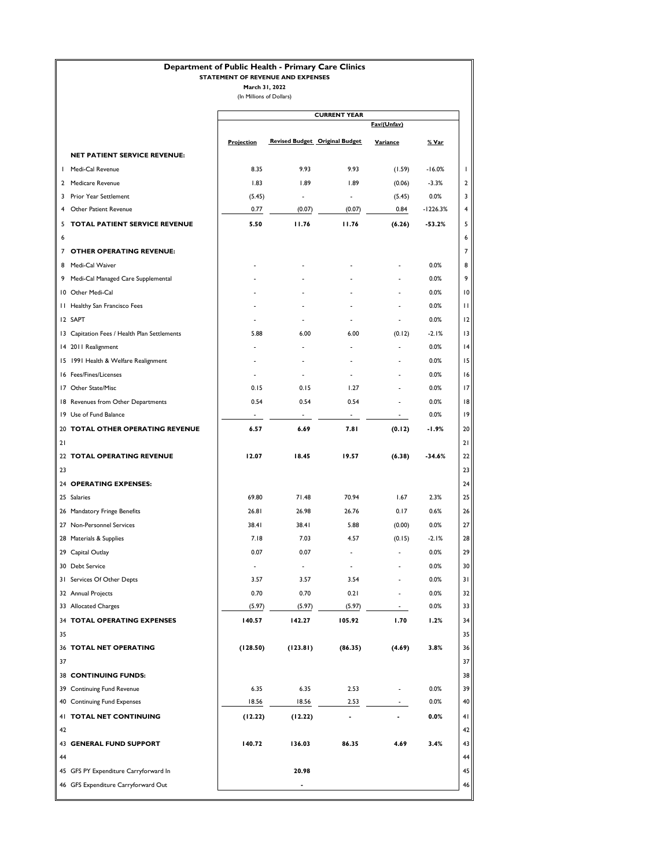### **Department of Public Health - Primary Care Clinics**

#### **STATEMENT OF REVENUE AND EXPENSES**

**March 31, 2022** (In Millions of Dollars)

|    |                                              |                          |                          | <b>CURRENT YEAR</b>                   |                          |            |
|----|----------------------------------------------|--------------------------|--------------------------|---------------------------------------|--------------------------|------------|
|    |                                              |                          |                          |                                       | Fav/(Unfav)              |            |
|    |                                              | <b>Projection</b>        |                          | <b>Revised Budget Original Budget</b> | Variance                 | % Var      |
|    | NET PATIENT SERVICE REVENUE:                 |                          |                          |                                       |                          |            |
| т. | Medi-Cal Revenue                             | 8.35                     | 9.93                     | 9.93                                  | (1.59)                   | $-16.0%$   |
|    | 2 Medicare Revenue                           | 1.83                     | 1.89                     | 1.89                                  | (0.06)                   | $-3.3%$    |
|    | 3 Prior Year Settlement                      | (5.45)                   | $\overline{\phantom{a}}$ |                                       | (5.45)                   | 0.0%       |
| 4  | <b>Other Patient Revenue</b>                 | 0.77                     | (0.07)                   | (0.07)                                | 0.84                     | $-1226.3%$ |
| 5  | <b>TOTAL PATIENT SERVICE REVENUE</b>         | 5.50                     | 11.76                    | 11.76                                 | (6.26)                   | $-53.2%$   |
| 6  |                                              |                          |                          |                                       |                          |            |
|    | 7 OTHER OPERATING REVENUE:                   |                          |                          |                                       |                          |            |
|    | 8 Medi-Cal Waiver                            |                          |                          |                                       |                          | 0.0%       |
|    | 9 Medi-Cal Managed Care Supplemental         |                          |                          |                                       |                          | 0.0%       |
|    | 10 Other Medi-Cal                            |                          |                          |                                       |                          | 0.0%       |
|    | 11 Healthy San Francisco Fees                |                          |                          |                                       |                          | 0.0%       |
|    | I2 SAPT                                      |                          |                          |                                       | $\overline{\phantom{a}}$ | 0.0%       |
|    | 13 Capitation Fees / Health Plan Settlements | 5.88                     | 6.00                     | 6.00                                  | (0.12)                   | $-2.1%$    |
|    | 14 2011 Realignment                          |                          | $\overline{a}$           |                                       | $\overline{a}$           | 0.0%       |
|    | 15 1991 Health & Welfare Realignment         |                          |                          |                                       |                          | 0.0%       |
|    | 16 Fees/Fines/Licenses                       |                          |                          |                                       |                          | 0.0%       |
|    | 17 Other State/Misc                          | 0.15                     | 0.15                     | 1.27                                  |                          | 0.0%       |
|    | 18 Revenues from Other Departments           | 0.54                     | 0.54                     | 0.54                                  |                          | 0.0%       |
|    | 19 Use of Fund Balance                       | $\overline{\phantom{a}}$ | $\sim$                   | $\overline{\phantom{a}}$              | $\sim$                   | 0.0%       |
|    | 20 TOTAL OTHER OPERATING REVENUE             | 6.57                     | 6.69                     | 7.81                                  | (0.12)                   | -1.9%      |
| 21 |                                              |                          |                          |                                       |                          |            |
|    | 22 TOTAL OPERATING REVENUE                   | 12.07                    | 18.45                    | 19.57                                 | (6.38)                   | -34.6%     |
| 23 |                                              |                          |                          |                                       |                          |            |
|    | 24 OPERATING EXPENSES:                       |                          |                          |                                       |                          |            |
|    | 25 Salaries                                  | 69.80                    | 71.48                    | 70.94                                 | 1.67                     | 2.3%       |
|    | 26 Mandatory Fringe Benefits                 | 26.81                    | 26.98                    | 26.76                                 | 0.17                     | 0.6%       |
|    | 27 Non-Personnel Services                    | 38.41                    | 38.41                    | 5.88                                  | (0.00)                   | 0.0%       |
|    | 28 Materials & Supplies                      | 7.18                     | 7.03                     | 4.57                                  | (0.15)                   | $-2.1%$    |
|    | 29 Capital Outlay                            | 0.07                     | 0.07                     | $\overline{a}$                        |                          | 0.0%       |
|    | 30 Debt Service                              | $\overline{\phantom{a}}$ | $\overline{\phantom{a}}$ | $\overline{\phantom{a}}$              |                          | 0.0%       |
|    | 31 Services Of Other Depts                   | 3.57                     | 3.57                     | 3.54                                  |                          | 0.0%       |
|    | 32 Annual Projects                           | 0.70                     | 0.70                     | 0.21                                  |                          | 0.0%       |
|    | 33 Allocated Charges                         | (5.97)                   | (5.97)                   | (5.97)                                | $\sim$                   | 0.0%       |
|    | 34 TOTAL OPERATING EXPENSES                  | 140.57                   | 142.27                   | 105.92                                | 1.70                     | 1.2%       |
| 35 |                                              |                          |                          |                                       |                          |            |
|    | 36 TOTAL NET OPERATING                       | (128.50)                 | (123.81)                 | (86.35)                               | (4.69)                   | 3.8%       |
| 37 |                                              |                          |                          |                                       |                          |            |
|    | <b>38 CONTINUING FUNDS:</b>                  |                          |                          |                                       |                          |            |
|    | 39 Continuing Fund Revenue                   | 6.35                     | 6.35                     | 2.53                                  |                          | 0.0%       |
|    | 40 Continuing Fund Expenses                  | 18.56                    | 18.56                    | 2.53                                  | $\overline{\phantom{a}}$ | 0.0%       |
|    | 41 TOTAL NET CONTINUING                      | (12.22)                  | (12.22)                  | $\blacksquare$                        |                          | 0.0%       |
| 42 |                                              |                          |                          |                                       |                          |            |
|    | <b>43 GENERAL FUND SUPPORT</b>               | 140.72                   | 136.03                   | 86.35                                 | 4.69                     | 3.4%       |
| 44 |                                              |                          |                          |                                       |                          |            |
|    | 45 GFS PY Expenditure Carryforward In        |                          | 20.98                    |                                       |                          |            |
|    |                                              |                          |                          |                                       |                          |            |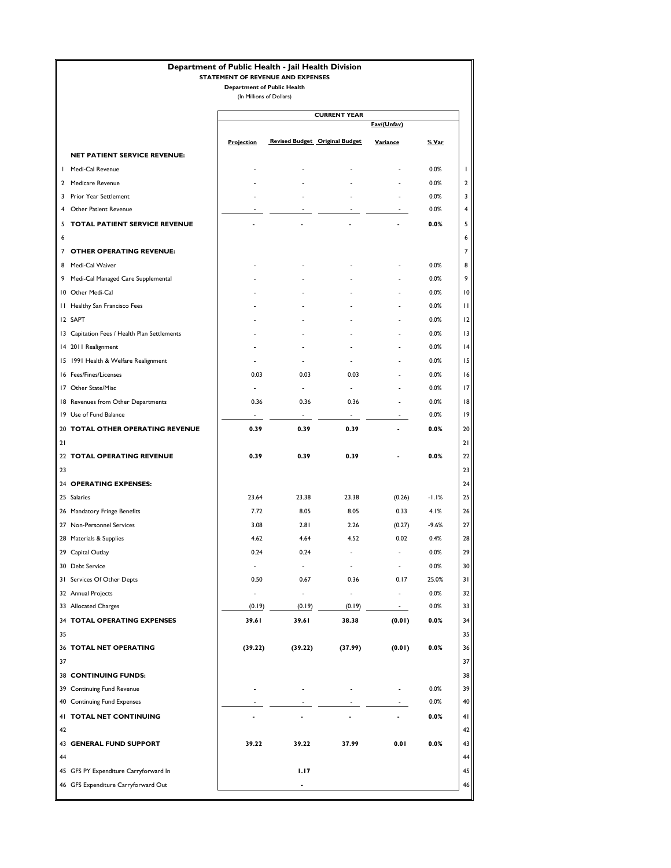|    | Department of Public Health - Jail Health Division |                                    | STATEMENT OF REVENUE AND EXPENSES |                                       |                        |                           |
|----|----------------------------------------------------|------------------------------------|-----------------------------------|---------------------------------------|------------------------|---------------------------|
|    |                                                    | <b>Department of Public Health</b> |                                   |                                       |                        |                           |
|    |                                                    | (In Millions of Dollars)           |                                   |                                       |                        |                           |
|    |                                                    |                                    |                                   | <b>CURRENT YEAR</b>                   |                        |                           |
|    |                                                    |                                    |                                   |                                       | Fav/(Unfav)            |                           |
|    |                                                    | <b>Projection</b>                  |                                   | <b>Revised Budget Original Budget</b> | Variance               | <u>% Var</u>              |
|    | <b>NET PATIENT SERVICE REVENUE:</b>                |                                    |                                   |                                       |                        |                           |
|    | I Medi-Cal Revenue                                 |                                    |                                   |                                       |                        | 0.0%<br>I                 |
|    | 2 Medicare Revenue                                 |                                    |                                   |                                       |                        | 0.0%<br>2                 |
| 3  | Prior Year Settlement                              |                                    |                                   |                                       |                        | 0.0%<br>3                 |
| 4  | Other Patient Revenue                              |                                    |                                   |                                       | $\overline{a}$         | 0.0%<br>4                 |
| 5  | TOTAL PATIENT SERVICE REVENUE                      |                                    |                                   |                                       |                        | 0.0%<br>5                 |
| 6  |                                                    |                                    |                                   |                                       |                        | 6                         |
|    | 7 OTHER OPERATING REVENUE:                         |                                    |                                   |                                       |                        | $\overline{7}$            |
|    | 8 Medi-Cal Waiver                                  |                                    |                                   |                                       |                        | 0.0%<br>8                 |
|    | 9 Medi-Cal Managed Care Supplemental               |                                    |                                   |                                       |                        | 0.0%<br>9                 |
|    | 10 Other Medi-Cal                                  |                                    |                                   |                                       |                        | 0.0%<br>$\overline{10}$   |
|    | 11 Healthy San Francisco Fees                      |                                    |                                   |                                       |                        | 0.0%<br>П                 |
|    | I2 SAPT                                            |                                    |                                   |                                       |                        | 0.0%<br>12                |
|    | 13 Capitation Fees / Health Plan Settlements       |                                    |                                   |                                       |                        | 0.0%<br>13                |
|    | 14 2011 Realignment                                |                                    |                                   |                                       |                        | 0.0%<br> 4                |
|    | 15 1991 Health & Welfare Realignment               |                                    |                                   |                                       |                        | 0.0%<br>15                |
|    | 16 Fees/Fines/Licenses                             | 0.03                               | 0.03                              | 0.03                                  |                        | 0.0%<br>16                |
|    | 17 Other State/Misc                                |                                    | $\overline{a}$                    | $\overline{\phantom{a}}$              |                        | 0.0%<br>17                |
|    | 18 Revenues from Other Departments                 | 0.36                               | 0.36                              | 0.36                                  |                        | 0.0%<br>18                |
|    | 19 Use of Fund Balance                             | $\qquad \qquad \blacksquare$       | $\overline{\phantom{a}}$          | $\blacksquare$                        |                        | 0.0%<br>19                |
|    | 20 TOTAL OTHER OPERATING REVENUE                   | 0.39                               | 0.39                              | 0.39                                  |                        | 0.0%<br>20                |
| 21 |                                                    |                                    |                                   |                                       |                        | 21                        |
|    | 22 TOTAL OPERATING REVENUE                         | 0.39                               | 0.39                              | 0.39                                  |                        | 0.0%<br>22                |
| 23 |                                                    |                                    |                                   |                                       |                        | 23                        |
|    | 24 OPERATING EXPENSES:                             |                                    |                                   |                                       |                        | 24                        |
|    | 25 Salaries                                        | 23.64                              | 23.38                             | 23.38                                 | (0.26)                 | $-1.1%$<br>25             |
|    | 26 Mandatory Fringe Benefits                       | 7.72                               | 8.05                              | 8.05                                  | 0.33                   | 4.1%<br>26                |
|    | 27 Non-Personnel Services                          | 3.08                               | 2.81                              | 2.26                                  | (0.27)                 | $-9.6%$<br>27             |
|    | 28 Materials & Supplies                            | 4.62                               | 4.64                              | 4.52                                  | 0.02                   | 0.4%<br>28                |
|    | 29 Capital Outlay                                  | 0.24                               | 0.24                              |                                       |                        | 0.0%<br>29                |
|    | 30 Debt Service                                    | $\overline{a}$<br>0.50             | $\overline{\phantom{a}}$          | ÷<br>0.36                             |                        | 0.0%<br>30<br>25.0%<br>31 |
|    | 31 Services Of Other Depts<br>32 Annual Projects   | ÷,                                 | 0.67<br>$\blacksquare$            | $\overline{\phantom{a}}$              | 0.17<br>$\overline{a}$ | 0.0%<br>32                |
|    | 33 Allocated Charges                               | (0.19)                             | (0.19)                            | (0.19)                                | ۰.                     | 0.0%<br>33                |
|    | 34 TOTAL OPERATING EXPENSES                        | 39.61                              | 39.61                             | 38.38                                 | (0.01)                 | 0.0%<br>34                |
| 35 |                                                    |                                    |                                   |                                       |                        | 35                        |
|    | 36 TOTAL NET OPERATING                             | (39.22)                            | (39.22)                           | (37.99)                               | (0.01)                 | $0.0\%$<br>36             |
| 37 |                                                    |                                    |                                   |                                       |                        | 37                        |
|    | <b>38 CONTINUING FUNDS:</b>                        |                                    |                                   |                                       |                        | 38                        |
|    | 39 Continuing Fund Revenue                         |                                    |                                   |                                       |                        | 0.0%<br>39                |
|    | 40 Continuing Fund Expenses                        |                                    |                                   |                                       |                        | 0.0%<br>40                |
|    | 41 TOTAL NET CONTINUING                            |                                    |                                   |                                       |                        | 0.0%<br>41                |
| 42 |                                                    |                                    |                                   |                                       |                        | 42                        |
|    | <b>43 GENERAL FUND SUPPORT</b>                     | 39.22                              | 39.22                             | 37.99                                 | 0.01                   | 0.0%<br>43                |
| 44 |                                                    |                                    |                                   |                                       |                        | 44                        |
|    | 45 GFS PY Expenditure Carryforward In              |                                    | 1.17                              |                                       |                        | 45                        |
|    | 46 GFS Expenditure Carryforward Out                |                                    | $\overline{\phantom{a}}$          |                                       |                        | 46                        |
|    |                                                    |                                    |                                   |                                       |                        |                           |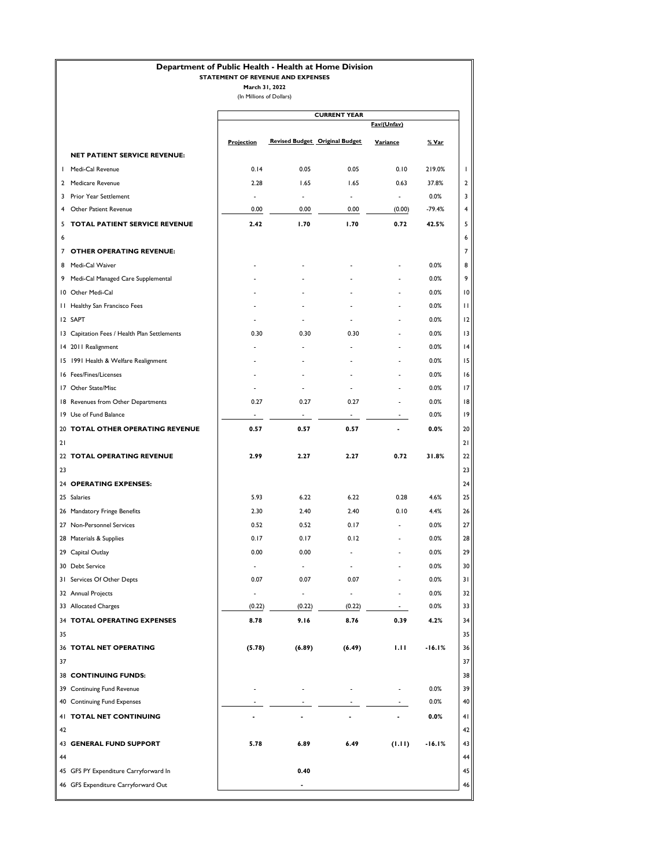## **Department of Public Health - Health at Home Division**

### **STATEMENT OF REVENUE AND EXPENSES**

|                                              |                          |                                       | <b>CURRENT YEAR</b>      |                          |              |
|----------------------------------------------|--------------------------|---------------------------------------|--------------------------|--------------------------|--------------|
|                                              |                          |                                       |                          | Fav/(Unfav)              |              |
|                                              | <b>Projection</b>        | <b>Revised Budget Original Budget</b> |                          | Variance                 | <u>% Var</u> |
| NET PATIENT SERVICE REVENUE:                 |                          |                                       |                          |                          |              |
| Medi-Cal Revenue<br>ш                        | 0.14                     | 0.05                                  | 0.05                     | 0.10                     | 219.0%       |
| 2 Medicare Revenue                           | 2.28                     | 1.65                                  | 1.65                     | 0.63                     | 37.8%        |
| 3 Prior Year Settlement                      | $\blacksquare$           | $\overline{\phantom{a}}$              | $\blacksquare$           | $\sim$                   | 0.0%         |
| 4 Other Patient Revenue                      | 0.00                     | 0.00                                  | 0.00                     | (0.00)                   | $-79.4%$     |
| TOTAL PATIENT SERVICE REVENUE<br>5           | 2.42                     | 1.70                                  | 1.70                     | 0.72                     | 42.5%        |
| 6                                            |                          |                                       |                          |                          |              |
| 7 OTHER OPERATING REVENUE:                   |                          |                                       |                          |                          |              |
| 8 Medi-Cal Waiver                            |                          |                                       |                          |                          | 0.0%         |
| Medi-Cal Managed Care Supplemental<br>9      |                          |                                       |                          |                          | 0.0%         |
| 10 Other Medi-Cal                            |                          |                                       |                          |                          | 0.0%         |
| 11 Healthy San Francisco Fees                |                          |                                       |                          |                          | 0.0%         |
| I2 SAPT                                      |                          |                                       | $\overline{\phantom{a}}$ | $\overline{a}$           | 0.0%         |
| 13 Capitation Fees / Health Plan Settlements | 0.30                     | 0.30                                  | 0.30                     | $\frac{1}{2}$            | 0.0%         |
| 14 2011 Realignment                          |                          |                                       |                          |                          | 0.0%         |
| 15 1991 Health & Welfare Realignment         |                          |                                       |                          |                          | 0.0%         |
| 16 Fees/Fines/Licenses                       |                          |                                       |                          |                          | 0.0%         |
| 17 Other State/Misc                          |                          |                                       |                          |                          | 0.0%         |
| 18 Revenues from Other Departments           | 0.27                     | 0.27                                  | 0.27                     |                          | 0.0%         |
| 19 Use of Fund Balance                       | $\sim$                   | $\sim$                                | $\sim 10$                | $\sim$                   | 0.0%         |
| 20 TOTAL OTHER OPERATING REVENUE             | 0.57                     | 0.57                                  | 0.57                     |                          | 0.0%         |
| 21                                           |                          |                                       |                          |                          |              |
| 22 TOTAL OPERATING REVENUE                   | 2.99                     | 2.27                                  | 2.27                     | 0.72                     | 31.8%        |
| 23                                           |                          |                                       |                          |                          |              |
| 24 OPERATING EXPENSES:                       |                          |                                       |                          |                          |              |
| 25 Salaries                                  | 5.93                     | 6.22                                  | 6.22                     | 0.28                     | 4.6%         |
| 26 Mandatory Fringe Benefits                 | 2.30                     | 2.40                                  | 2.40                     | 0.10                     | 4.4%         |
| 27 Non-Personnel Services                    | 0.52                     | 0.52                                  | 0.17                     | $\sim$                   | 0.0%         |
| 28 Materials & Supplies                      | 0.17                     | 0.17                                  | 0.12                     | $\overline{\phantom{a}}$ | 0.0%         |
| 29 Capital Outlay                            | 0.00                     | 0.00                                  |                          |                          | 0.0%         |
| 30 Debt Service                              |                          | $\overline{\phantom{a}}$              |                          |                          | 0.0%         |
| 31 Services Of Other Depts                   | 0.07                     | 0.07                                  | 0.07                     |                          | $0.0\%$      |
| 32 Annual Projects                           | $\overline{\phantom{a}}$ | $\overline{a}$                        |                          |                          | 0.0%         |
| 33 Allocated Charges                         | (0.22)                   | (0.22)                                | (0.22)                   | $\sim$                   | 0.0%         |
| 34 TOTAL OPERATING EXPENSES                  | 8.78                     | 9.16                                  | 8.76                     | 0.39                     | 4.2%         |
| 35                                           |                          |                                       |                          |                          |              |
| 36 TOTAL NET OPERATING                       | (5.78)                   | (6.89)                                | (6.49)                   | 1.11                     | $-16.1%$     |
| 37                                           |                          |                                       |                          |                          |              |
| <b>38 CONTINUING FUNDS:</b>                  |                          |                                       |                          |                          |              |
| 39 Continuing Fund Revenue                   |                          |                                       |                          |                          | 0.0%         |
| 40 Continuing Fund Expenses                  |                          |                                       |                          |                          | 0.0%         |
| 41 TOTAL NET CONTINUING                      |                          |                                       |                          |                          | 0.0%         |
| 42                                           |                          |                                       |                          |                          |              |
| 43 GENERAL FUND SUPPORT                      | 5.78                     | 6.89                                  | 6.49                     | (1.11)                   | $-16.1%$     |
| 44                                           |                          |                                       |                          |                          |              |
| 45 GFS PY Expenditure Carryforward In        |                          | 0.40                                  |                          |                          |              |
| 46 GFS Expenditure Carryforward Out          |                          | $\overline{\phantom{a}}$              |                          |                          |              |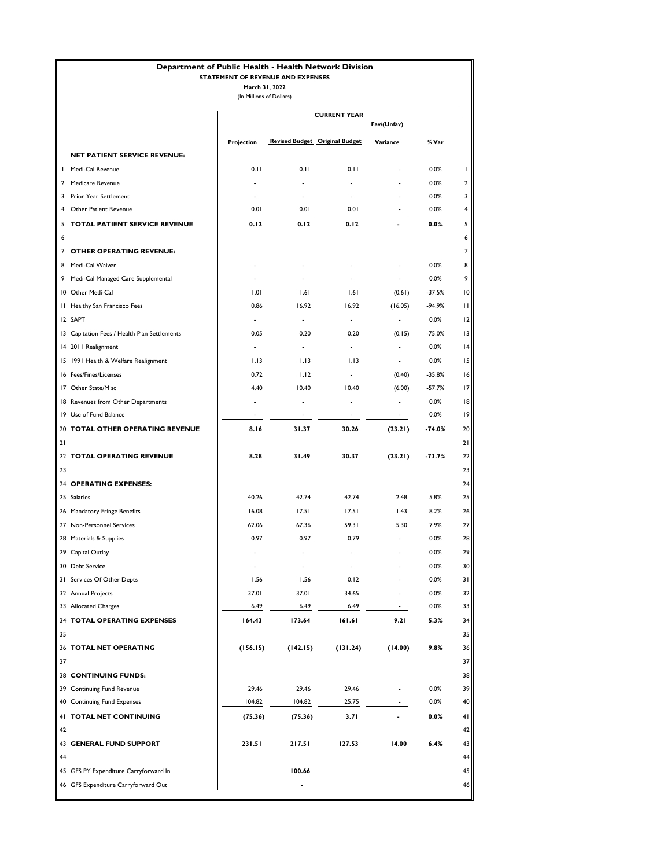## **Department of Public Health - Health Network Division**

### **STATEMENT OF REVENUE AND EXPENSES**

|  | (In Millions of Dollars) |
|--|--------------------------|
|--|--------------------------|

|    |                                              | <b>CURRENT YEAR</b>      |                          |                                       |                          |          |
|----|----------------------------------------------|--------------------------|--------------------------|---------------------------------------|--------------------------|----------|
|    |                                              | Fav/(Unfav)              |                          |                                       |                          |          |
|    |                                              | <b>Projection</b>        |                          | <b>Revised Budget Original Budget</b> | Variance                 | % Var    |
|    | <b>NET PATIENT SERVICE REVENUE:</b>          |                          |                          |                                       |                          |          |
|    | I Medi-Cal Revenue                           | 0.11                     | 0.11                     | 0.11                                  |                          | 0.0%     |
|    | 2 Medicare Revenue                           |                          |                          |                                       |                          | 0.0%     |
|    | 3 Prior Year Settlement                      |                          |                          |                                       |                          | 0.0%     |
| 4  | <b>Other Patient Revenue</b>                 | 0.01                     | 0.01                     | 0.01                                  |                          | 0.0%     |
| 5  | TOTAL PATIENT SERVICE REVENUE                | 0.12                     | 0.12                     | 0.12                                  |                          | 0.0%     |
| 6  |                                              |                          |                          |                                       |                          |          |
|    | 7 OTHER OPERATING REVENUE:                   |                          |                          |                                       |                          |          |
|    | 8 Medi-Cal Waiver                            |                          |                          |                                       |                          | 0.0%     |
|    | 9 Medi-Cal Managed Care Supplemental         |                          |                          |                                       |                          | 0.0%     |
|    | 10 Other Medi-Cal                            | 1.01                     | 1.61                     | 1.61                                  | (0.61)                   | $-37.5%$ |
|    | 11 Healthy San Francisco Fees                | 0.86                     | 16.92                    | 16.92                                 | (16.05)                  | $-94.9%$ |
|    | <b>I2 SAPT</b>                               | $\overline{\phantom{a}}$ | $\overline{\phantom{a}}$ | L.                                    |                          | 0.0%     |
|    | 13 Capitation Fees / Health Plan Settlements | 0.05                     | 0.20                     | 0.20                                  | (0.15)                   | $-75.0%$ |
|    | 14 2011 Realignment                          | ÷                        | $\overline{\phantom{a}}$ | $\blacksquare$                        | $\overline{\phantom{a}}$ | 0.0%     |
|    | 15 1991 Health & Welfare Realignment         | 1.13                     | 1.13                     | 1.13                                  | $\overline{\phantom{a}}$ | 0.0%     |
|    | 16 Fees/Fines/Licenses                       | 0.72                     | 1.12                     | $\overline{\phantom{a}}$              | (0.40)                   | $-35.8%$ |
|    | 17 Other State/Misc                          | 4.40                     | 10.40                    | 10.40                                 | (6.00)                   | $-57.7%$ |
|    | 18 Revenues from Other Departments           |                          |                          | $\overline{a}$                        |                          | 0.0%     |
|    | 19 Use of Fund Balance                       |                          |                          | $\overline{\phantom{a}}$              | $\sim$                   | 0.0%     |
|    | 20 TOTAL OTHER OPERATING REVENUE             | 8.16                     | 31.37                    | 30.26                                 |                          | $-74.0%$ |
| 21 |                                              |                          |                          |                                       | (23.21)                  |          |
|    | 22 TOTAL OPERATING REVENUE                   | 8.28                     | 31.49                    | 30.37                                 | (23.21)                  | $-13.7%$ |
|    |                                              |                          |                          |                                       |                          |          |
| 23 |                                              |                          |                          |                                       |                          |          |
|    | 24 OPERATING EXPENSES:                       |                          |                          |                                       |                          |          |
|    | 25 Salaries                                  | 40.26                    | 42.74                    | 42.74                                 | 2.48                     | 5.8%     |
|    | 26 Mandatory Fringe Benefits                 | 16.08                    | 17.51                    | 17.51                                 | 1.43                     | 8.2%     |
|    | 27 Non-Personnel Services                    | 62.06                    | 67.36                    | 59.31                                 | 5.30                     | 7.9%     |
|    | 28 Materials & Supplies                      | 0.97                     | 0.97                     | 0.79                                  | $\overline{a}$           | 0.0%     |
|    | 29 Capital Outlay                            |                          |                          |                                       |                          | 0.0%     |
|    | 30 Debt Service                              |                          | $\overline{\phantom{a}}$ | $\overline{\phantom{a}}$              |                          | 0.0%     |
|    | 31 Services Of Other Depts                   | 1.56                     | 1.56                     | 0.12                                  |                          | 0.0%     |
|    | 32 Annual Projects                           | 37.01                    | 37.01                    | 34.65                                 |                          | 0.0%     |
|    | 33 Allocated Charges                         | 6.49                     | 6.49                     | 6.49                                  | $\sim$                   | 0.0%     |
|    | 34 TOTAL OPERATING EXPENSES                  | 164.43                   | 173.64                   | 161.61                                | 9.21                     | 5.3%     |
| 35 |                                              |                          |                          |                                       |                          |          |
|    | 36 TOTAL NET OPERATING                       | (156.15)                 | (142.15)                 | (131.24)                              | (14.00)                  | 9.8%     |
| 37 |                                              |                          |                          |                                       |                          |          |
|    | <b>38 CONTINUING FUNDS:</b>                  |                          |                          |                                       |                          |          |
|    | 39 Continuing Fund Revenue                   | 29.46                    | 29.46                    | 29.46                                 | $\overline{a}$           | 0.0%     |
|    | 40 Continuing Fund Expenses                  | 104.82                   | 104.82                   | 25.75                                 | $\sim$                   | 0.0%     |
|    | 41 TOTAL NET CONTINUING                      | (75.36)                  | (75.36)                  | 3.71                                  |                          | 0.0%     |
| 42 |                                              |                          |                          |                                       |                          |          |
|    | 43 GENERAL FUND SUPPORT                      | 231.51                   | 217.51                   | 127.53                                | 14.00                    | 6.4%     |
| 44 |                                              |                          |                          |                                       |                          |          |
|    | 45 GFS PY Expenditure Carryforward In        |                          | 100.66                   |                                       |                          |          |
|    | 46 GFS Expenditure Carryforward Out          |                          |                          |                                       |                          |          |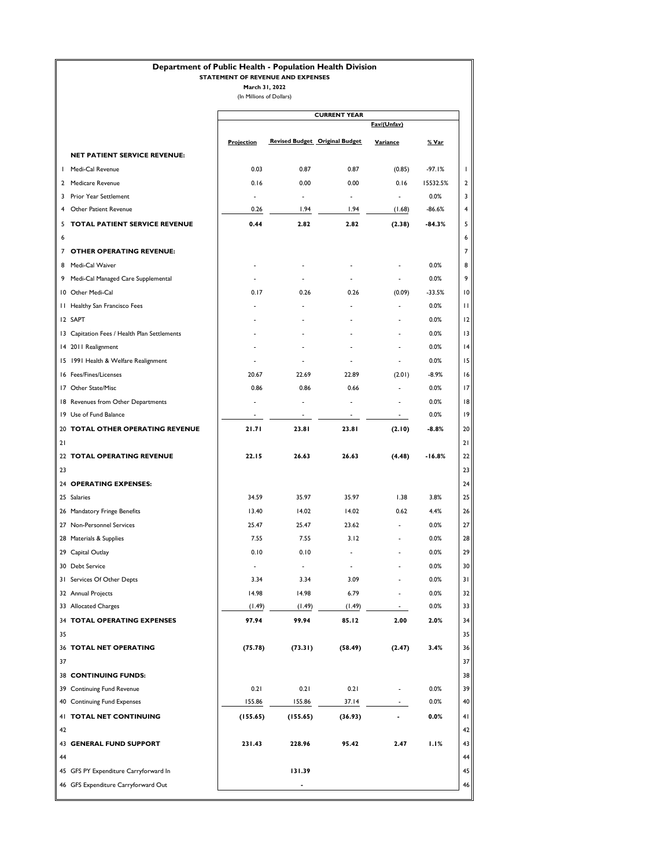## **Department of Public Health - Population Health Division**

### **STATEMENT OF REVENUE AND EXPENSES**

**March 31, 2022**

(In Millions of Dollars)

|    |                                              | <b>CURRENT YEAR</b> |                |                                       |                          |              |
|----|----------------------------------------------|---------------------|----------------|---------------------------------------|--------------------------|--------------|
|    |                                              |                     |                |                                       | Fav/(Unfav)              |              |
|    |                                              | <b>Projection</b>   |                | <b>Revised Budget Original Budget</b> | Variance                 | <u>% Var</u> |
|    | <b>NET PATIENT SERVICE REVENUE:</b>          |                     |                |                                       |                          |              |
|    | I Medi-Cal Revenue                           | 0.03                | 0.87           | 0.87                                  | (0.85)                   | $-97.1%$     |
|    | 2 Medicare Revenue                           | 0.16                | 0.00           | 0.00                                  | 0.16                     | 15532.5%     |
| 3  | Prior Year Settlement                        |                     | $\overline{a}$ |                                       |                          | 0.0%         |
| 4  | Other Patient Revenue                        | 0.26                | 1.94           | 1.94                                  | (1.68)                   | $-86.6%$     |
| 5  | TOTAL PATIENT SERVICE REVENUE                | 0.44                | 2.82           | 2.82                                  | (2.38)                   | $-84.3%$     |
| 6  |                                              |                     |                |                                       |                          |              |
|    | 7 OTHER OPERATING REVENUE:                   |                     |                |                                       |                          |              |
|    | 8 Medi-Cal Waiver                            |                     |                |                                       |                          | 0.0%         |
|    | 9 Medi-Cal Managed Care Supplemental         |                     |                |                                       |                          | 0.0%         |
|    | 10 Other Medi-Cal                            | 0.17                | 0.26           | 0.26                                  | (0.09)                   | $-33.5%$     |
|    | 11 Healthy San Francisco Fees                |                     |                |                                       |                          | 0.0%         |
|    | <b>I2 SAPT</b>                               |                     |                |                                       |                          | 0.0%         |
|    | 13 Capitation Fees / Health Plan Settlements |                     |                |                                       |                          | 0.0%         |
|    | 14 2011 Realignment                          |                     |                |                                       |                          | 0.0%         |
|    | 15 1991 Health & Welfare Realignment         |                     |                |                                       |                          | 0.0%         |
|    | 16 Fees/Fines/Licenses                       | 20.67               | 22.69          | 22.89                                 | (2.01)                   | $-8.9%$      |
|    | 17 Other State/Misc                          | 0.86                | 0.86           | 0.66                                  |                          | 0.0%         |
|    | 18 Revenues from Other Departments           |                     |                |                                       |                          | 0.0%         |
|    | 19 Use of Fund Balance                       |                     |                | $\overline{\phantom{a}}$              | $\sim$                   | 0.0%         |
|    | 20 TOTAL OTHER OPERATING REVENUE             | 21.71               | 23.81          | 23.81                                 | (2.10)                   | $-8.8%$      |
| 21 |                                              |                     |                |                                       |                          |              |
|    | 22 TOTAL OPERATING REVENUE                   | 22.15               | 26.63          | 26.63                                 | (4.48)                   | -16.8%       |
| 23 |                                              |                     |                |                                       |                          |              |
|    | 24 OPERATING EXPENSES:                       |                     |                |                                       |                          |              |
|    | 25 Salaries                                  | 34.59               | 35.97          | 35.97                                 | 1.38                     | 3.8%         |
|    | 26 Mandatory Fringe Benefits                 | 13.40               | 14.02          | 14.02                                 | 0.62                     | 4.4%         |
|    | 27 Non-Personnel Services                    | 25.47               | 25.47          | 23.62                                 | $\overline{\phantom{a}}$ | 0.0%         |
|    | 28 Materials & Supplies                      | 7.55                | 7.55           | 3.12                                  |                          | 0.0%         |
|    | 29 Capital Outlay                            | 0.10                | 0.10           |                                       |                          | 0.0%         |
|    | 30 Debt Service                              |                     | $\overline{a}$ |                                       |                          | 0.0%         |
|    | 31 Services Of Other Depts                   | 3.34                | 3.34           | 3.09                                  |                          | 0.0%         |
|    | 32 Annual Projects                           | 14.98               | 14.98          | 6.79                                  |                          | 0.0%         |
|    | 33 Allocated Charges                         | (1.49)              | (1.49)         | (1.49)                                | $\sim$                   | 0.0%         |
|    | 34 TOTAL OPERATING EXPENSES                  | 97.94               | 99.94          | 85.12                                 | 2.00                     | 2.0%         |
| 35 |                                              |                     |                |                                       |                          |              |
|    | 36 TOTAL NET OPERATING                       | (75.78)             | (73.31)        | (58.49)                               | (2.47)                   | 3.4%         |
| 37 |                                              |                     |                |                                       |                          |              |
|    | <b>38 CONTINUING FUNDS:</b>                  |                     |                |                                       |                          |              |
|    | 39 Continuing Fund Revenue                   | 0.21                | 0.21           | 0.21                                  | $\overline{a}$           | 0.0%         |
|    | 40 Continuing Fund Expenses                  | 155.86              | 155.86         | 37.14                                 | $\sim$                   | 0.0%         |
|    | 41 TOTAL NET CONTINUING                      |                     |                |                                       |                          |              |
|    |                                              | (155.65)            | (155.65)       | (36.93)                               |                          | $0.0\%$      |
| 42 |                                              |                     |                |                                       |                          |              |
|    | 43 GENERAL FUND SUPPORT                      | 231.43              | 228.96         | 95.42                                 | 2.47                     | 1.1%         |
| 44 |                                              |                     |                |                                       |                          |              |
|    | 45 GFS PY Expenditure Carryforward In        |                     | 131.39         |                                       |                          |              |
|    | 46 GFS Expenditure Carryforward Out          |                     |                |                                       |                          |              |